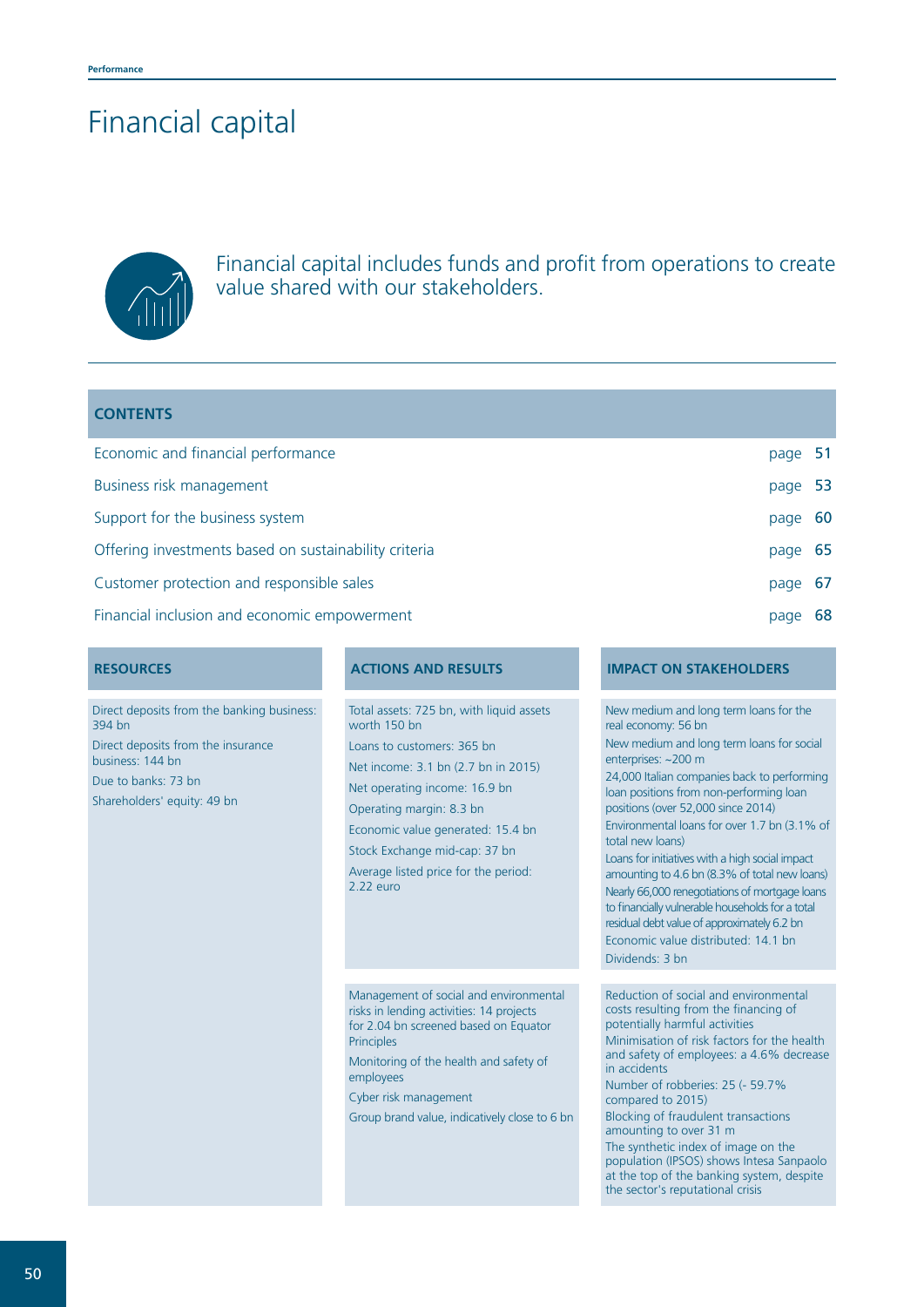# Financial capital



Financial capital includes funds and profit from operations to create value shared with our stakeholders.

| <b>CONTENTS</b>                                       |         |    |
|-------------------------------------------------------|---------|----|
| Economic and financial performance                    | page 51 |    |
| Business risk management                              | page 53 |    |
| Support for the business system                       | page 60 |    |
| Offering investments based on sustainability criteria | page    | 65 |
| Customer protection and responsible sales             | page    | 67 |
| Financial inclusion and economic empowerment          | page    | 68 |

Direct deposits from the banking business: 394 bn Direct deposits from the insurance business: 144 bn Due to banks: 73 bn Shareholders' equity: 49 bn

Total assets: 725 bn, with liquid assets worth 150 bn Loans to customers: 365 bn Net income: 3.1 bn (2.7 bn in 2015) Net operating income: 16.9 bn Operating margin: 8.3 bn Economic value generated: 15.4 bn Stock Exchange mid-cap: 37 bn Average listed price for the period: 2.22 euro

Management of social and environmental risks in lending activities: 14 projects for 2.04 bn screened based on Equator Principles

Monitoring of the health and safety of employees

Cyber risk management

Group brand value, indicatively close to 6 bn

# **RESOURCES ACTIONS AND RESULTS IMPACT ON STAKEHOLDERS**

New medium and long term loans for the

Reduction of social and environmental costs resulting from the financing of potentially harmful activities Minimisation of risk factors for the health and safety of employees: a 4.6% decrease in accidents Number of robberies: 25 (- 59.7% compared to 2015) Blocking of fraudulent transactions amounting to over 31 m The synthetic index of image on the population (IPSOS) shows Intesa Sanpaolo at the top of the banking system, despite the sector's reputational crisis real economy: 56 bn New medium and long term loans for social enterprises: ~200 m 24,000 Italian companies back to performing loan positions from non-performing loan positions (over 52,000 since 2014) Environmental loans for over 1.7 bn (3.1% of total new loans) Loans for initiatives with a high social impact amounting to 4.6 bn (8.3% of total new loans) Nearly 66,000 renegotiations of mortgage loans to financially vulnerable households for a total residual debt value of approximately 6.2 bn Economic value distributed: 14.1 bn Dividends: 3 bn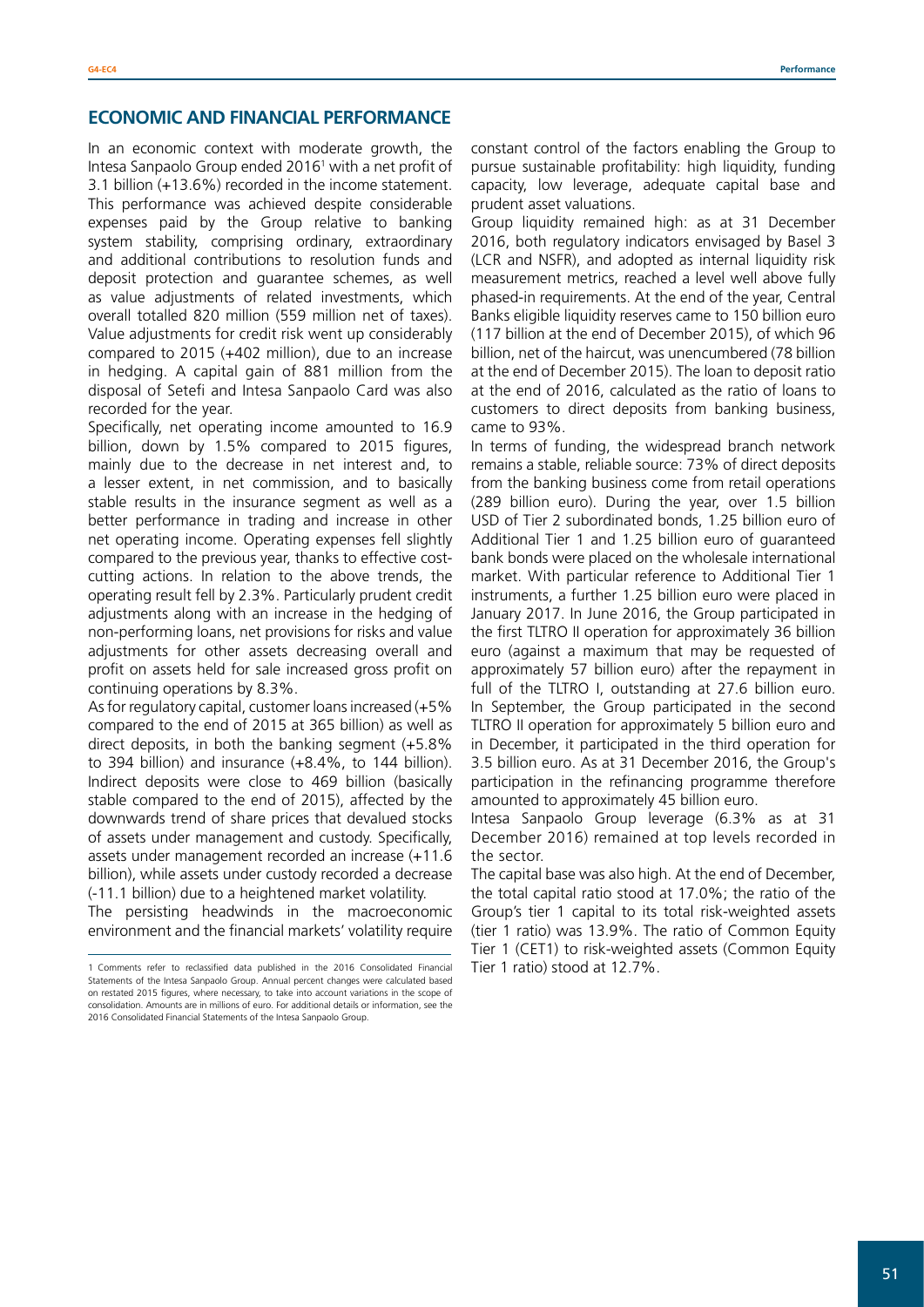# **ECONOMIC AND FINANCIAL PERFORMANCE**

In an economic context with moderate growth, the Intesa Sanpaolo Group ended 2016<sup>1</sup> with a net profit of 3.1 billion (+13.6%) recorded in the income statement. This performance was achieved despite considerable expenses paid by the Group relative to banking system stability, comprising ordinary, extraordinary and additional contributions to resolution funds and deposit protection and guarantee schemes, as well as value adjustments of related investments, which overall totalled 820 million (559 million net of taxes). Value adjustments for credit risk went up considerably compared to 2015 (+402 million), due to an increase in hedging. A capital gain of 881 million from the disposal of Setefi and Intesa Sanpaolo Card was also recorded for the year.

Specifically, net operating income amounted to 16.9 billion, down by 1.5% compared to 2015 figures, mainly due to the decrease in net interest and, to a lesser extent, in net commission, and to basically stable results in the insurance segment as well as a better performance in trading and increase in other net operating income. Operating expenses fell slightly compared to the previous year, thanks to effective costcutting actions. In relation to the above trends, the operating result fell by 2.3%. Particularly prudent credit adjustments along with an increase in the hedging of non-performing loans, net provisions for risks and value adjustments for other assets decreasing overall and profit on assets held for sale increased gross profit on continuing operations by 8.3%.

As for regulatory capital, customer loans increased (+5% compared to the end of 2015 at 365 billion) as well as direct deposits, in both the banking segment (+5.8% to 394 billion) and insurance (+8.4%, to 144 billion). Indirect deposits were close to 469 billion (basically stable compared to the end of 2015), affected by the downwards trend of share prices that devalued stocks of assets under management and custody. Specifically, assets under management recorded an increase (+11.6 billion), while assets under custody recorded a decrease (-11.1 billion) due to a heightened market volatility.

The persisting headwinds in the macroeconomic environment and the financial markets' volatility require

constant control of the factors enabling the Group to pursue sustainable profitability: high liquidity, funding capacity, low leverage, adequate capital base and prudent asset valuations.

Group liquidity remained high: as at 31 December 2016, both regulatory indicators envisaged by Basel 3 (LCR and NSFR), and adopted as internal liquidity risk measurement metrics, reached a level well above fully phased-in requirements. At the end of the year, Central Banks eligible liquidity reserves came to 150 billion euro (117 billion at the end of December 2015), of which 96 billion, net of the haircut, was unencumbered (78 billion at the end of December 2015). The loan to deposit ratio at the end of 2016, calculated as the ratio of loans to customers to direct deposits from banking business, came to 93%.

In terms of funding, the widespread branch network remains a stable, reliable source: 73% of direct deposits from the banking business come from retail operations (289 billion euro). During the year, over 1.5 billion USD of Tier 2 subordinated bonds, 1.25 billion euro of Additional Tier 1 and 1.25 billion euro of guaranteed bank bonds were placed on the wholesale international market. With particular reference to Additional Tier 1 instruments, a further 1.25 billion euro were placed in January 2017. In June 2016, the Group participated in the first TLTRO II operation for approximately 36 billion euro (against a maximum that may be requested of approximately 57 billion euro) after the repayment in full of the TLTRO I, outstanding at 27.6 billion euro. In September, the Group participated in the second TLTRO II operation for approximately 5 billion euro and in December, it participated in the third operation for 3.5 billion euro. As at 31 December 2016, the Group's participation in the refinancing programme therefore amounted to approximately 45 billion euro.

Intesa Sanpaolo Group leverage (6.3% as at 31 December 2016) remained at top levels recorded in the sector.

The capital base was also high. At the end of December, the total capital ratio stood at 17.0%; the ratio of the Group's tier 1 capital to its total risk-weighted assets (tier 1 ratio) was 13.9%. The ratio of Common Equity Tier 1 (CET1) to risk-weighted assets (Common Equity Tier 1 ratio) stood at 12.7%.

<sup>1</sup> Comments refer to reclassified data published in the 2016 Consolidated Financial Statements of the Intesa Sanpaolo Group. Annual percent changes were calculated based on restated 2015 figures, where necessary, to take into account variations in the scope of consolidation. Amounts are in millions of euro. For additional details or information, see the 2016 Consolidated Financial Statements of the Intesa Sanpaolo Group.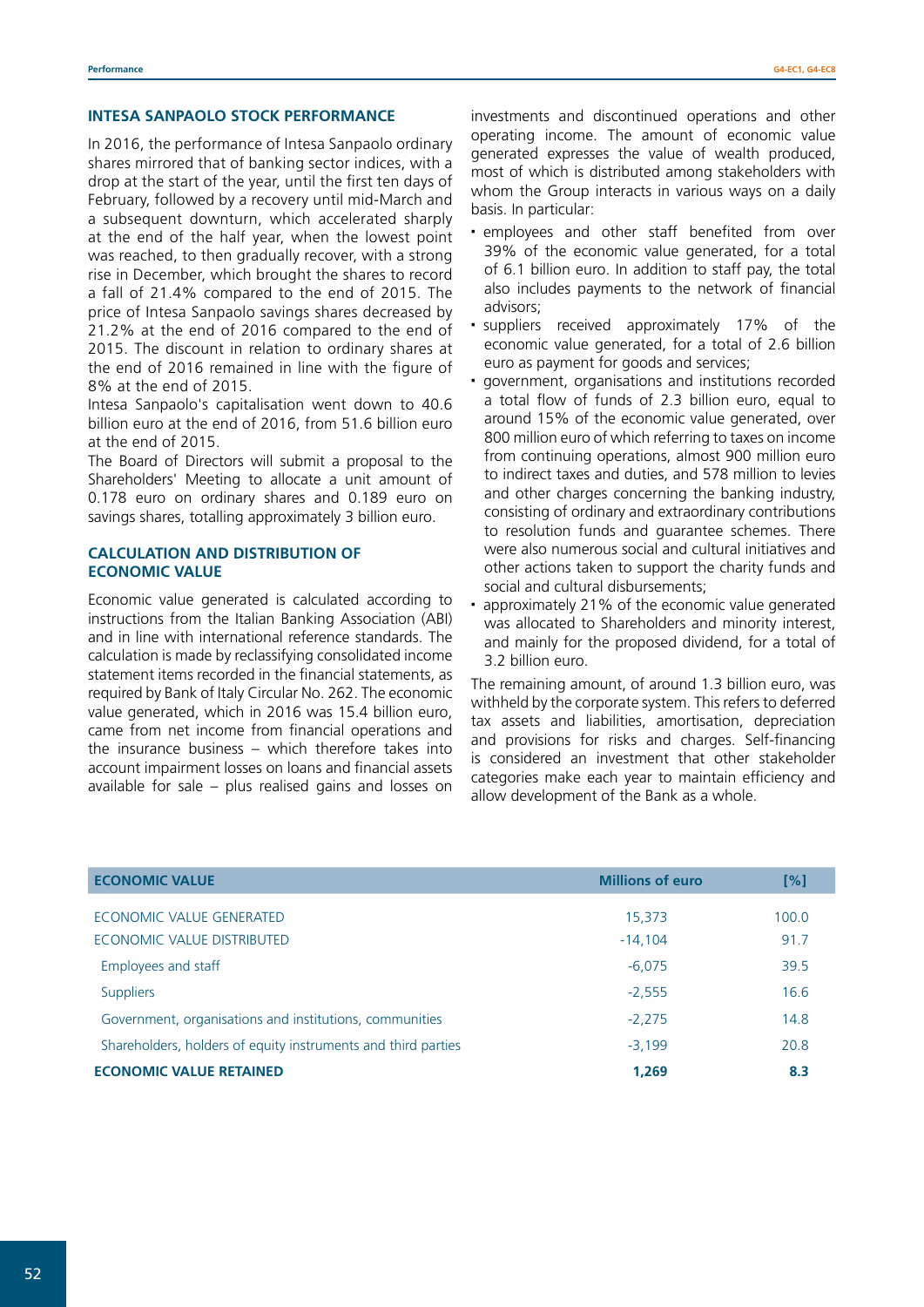#### **INTESA SANPAOLO STOCK PERFORMANCE**

In 2016, the performance of Intesa Sanpaolo ordinary shares mirrored that of banking sector indices, with a drop at the start of the year, until the first ten days of February, followed by a recovery until mid-March and a subsequent downturn, which accelerated sharply at the end of the half year, when the lowest point was reached, to then gradually recover, with a strong rise in December, which brought the shares to record a fall of 21.4% compared to the end of 2015. The price of Intesa Sanpaolo savings shares decreased by 21.2% at the end of 2016 compared to the end of 2015. The discount in relation to ordinary shares at the end of 2016 remained in line with the figure of 8% at the end of 2015.

Intesa Sanpaolo's capitalisation went down to 40.6 billion euro at the end of 2016, from 51.6 billion euro at the end of 2015.

The Board of Directors will submit a proposal to the Shareholders' Meeting to allocate a unit amount of 0.178 euro on ordinary shares and 0.189 euro on savings shares, totalling approximately 3 billion euro.

# **CALCULATION AND DISTRIBUTION OF ECONOMIC VALUE**

Economic value generated is calculated according to instructions from the Italian Banking Association (ABI) and in line with international reference standards. The calculation is made by reclassifying consolidated income statement items recorded in the financial statements, as required by Bank of Italy Circular No. 262. The economic value generated, which in 2016 was 15.4 billion euro, came from net income from financial operations and the insurance business – which therefore takes into account impairment losses on loans and financial assets available for sale – plus realised gains and losses on

investments and discontinued operations and other operating income. The amount of economic value generated expresses the value of wealth produced, most of which is distributed among stakeholders with whom the Group interacts in various ways on a daily basis. In particular:

- employees and other staff benefited from over 39% of the economic value generated, for a total of 6.1 billion euro. In addition to staff pay, the total also includes payments to the network of financial advisors;
- suppliers received approximately 17% of the economic value generated, for a total of 2.6 billion euro as payment for goods and services;
- government, organisations and institutions recorded a total flow of funds of 2.3 billion euro, equal to around 15% of the economic value generated, over 800 million euro of which referring to taxes on income from continuing operations, almost 900 million euro to indirect taxes and duties, and 578 million to levies and other charges concerning the banking industry, consisting of ordinary and extraordinary contributions to resolution funds and guarantee schemes. There were also numerous social and cultural initiatives and other actions taken to support the charity funds and social and cultural disbursements;
- approximately 21% of the economic value generated was allocated to Shareholders and minority interest, and mainly for the proposed dividend, for a total of 3.2 billion euro.

The remaining amount, of around 1.3 billion euro, was withheld by the corporate system. This refers to deferred tax assets and liabilities, amortisation, depreciation and provisions for risks and charges. Self-financing is considered an investment that other stakeholder categories make each year to maintain efficiency and allow development of the Bank as a whole.

| <b>ECONOMIC VALUE</b>                                         | <b>Millions of euro</b> | $\lceil\% \rceil$ |
|---------------------------------------------------------------|-------------------------|-------------------|
| ECONOMIC VALUE GENERATED                                      | 15,373                  | 100.0             |
| ECONOMIC VALUE DISTRIBUTED                                    | $-14.104$               | 91.7              |
| Employees and staff                                           | $-6,075$                | 39.5              |
| <b>Suppliers</b>                                              | $-2,555$                | 16.6              |
| Government, organisations and institutions, communities       | $-2,275$                | 14.8              |
| Shareholders, holders of equity instruments and third parties | $-3.199$                | 20.8              |
| <b>ECONOMIC VALUE RETAINED</b>                                | 1,269                   | 8.3               |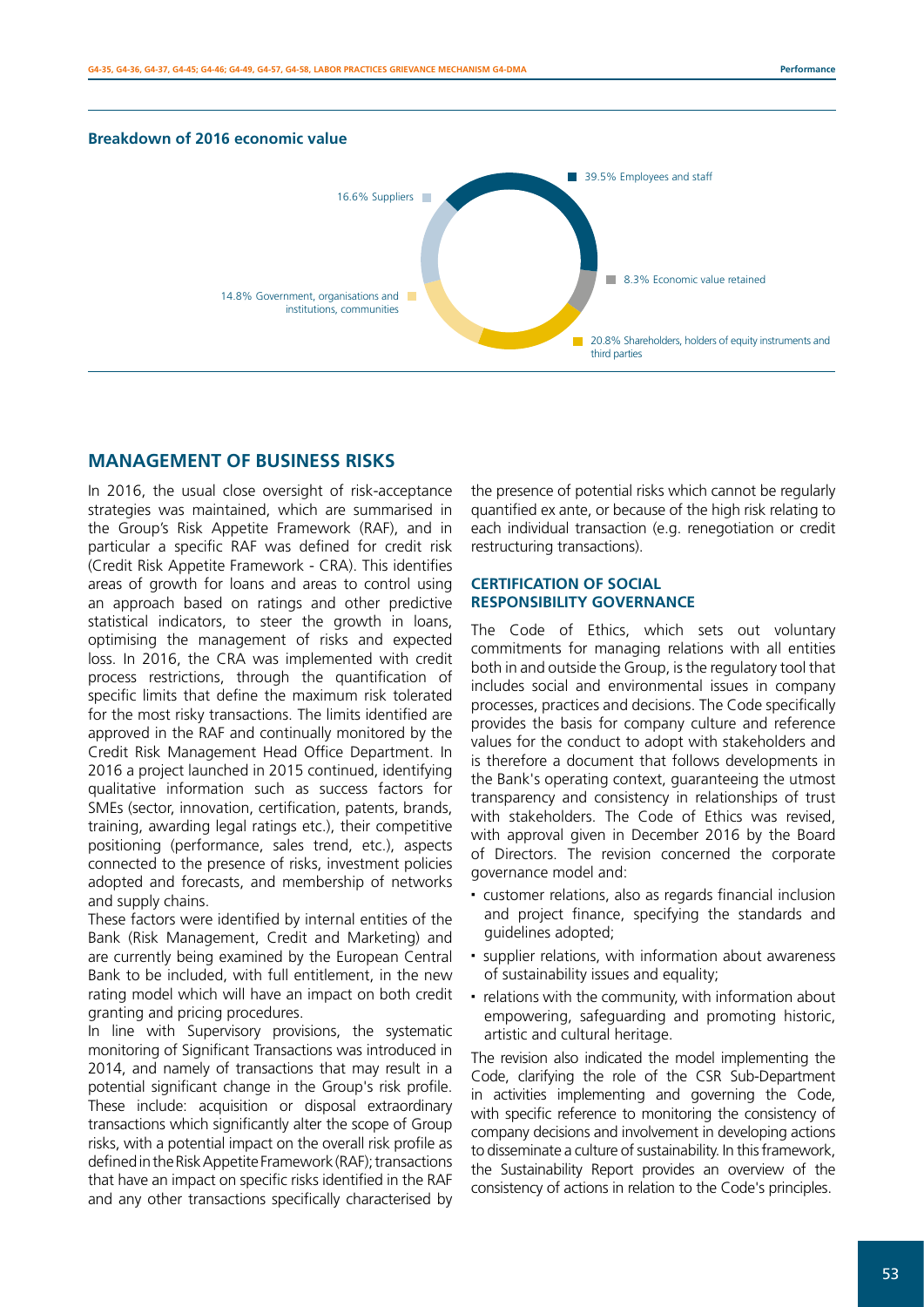

# **MANAGEMENT OF BUSINESS RISKS**

In 2016, the usual close oversight of risk-acceptance strategies was maintained, which are summarised in the Group's Risk Appetite Framework (RAF), and in particular a specific RAF was defined for credit risk (Credit Risk Appetite Framework - CRA). This identifies areas of growth for loans and areas to control using an approach based on ratings and other predictive statistical indicators, to steer the growth in loans, optimising the management of risks and expected loss. In 2016, the CRA was implemented with credit process restrictions, through the quantification of specific limits that define the maximum risk tolerated for the most risky transactions. The limits identified are approved in the RAF and continually monitored by the Credit Risk Management Head Office Department. In 2016 a project launched in 2015 continued, identifying qualitative information such as success factors for SMEs (sector, innovation, certification, patents, brands, training, awarding legal ratings etc.), their competitive positioning (performance, sales trend, etc.), aspects connected to the presence of risks, investment policies adopted and forecasts, and membership of networks and supply chains.

These factors were identified by internal entities of the Bank (Risk Management, Credit and Marketing) and are currently being examined by the European Central Bank to be included, with full entitlement, in the new rating model which will have an impact on both credit granting and pricing procedures.

In line with Supervisory provisions, the systematic monitoring of Significant Transactions was introduced in 2014, and namely of transactions that may result in a potential significant change in the Group's risk profile. These include: acquisition or disposal extraordinary transactions which significantly alter the scope of Group risks, with a potential impact on the overall risk profile as defined in the Risk Appetite Framework (RAF); transactions that have an impact on specific risks identified in the RAF and any other transactions specifically characterised by

the presence of potential risks which cannot be regularly quantified ex ante, or because of the high risk relating to each individual transaction (e.g. renegotiation or credit restructuring transactions).

# **CERTIFICATION OF SOCIAL RESPONSIBILITY GOVERNANCE**

The Code of Ethics, which sets out voluntary commitments for managing relations with all entities both in and outside the Group, is the regulatory tool that includes social and environmental issues in company processes, practices and decisions. The Code specifically provides the basis for company culture and reference values for the conduct to adopt with stakeholders and is therefore a document that follows developments in the Bank's operating context, guaranteeing the utmost transparency and consistency in relationships of trust with stakeholders. The Code of Ethics was revised, with approval given in December 2016 by the Board of Directors. The revision concerned the corporate governance model and:

- customer relations, also as regards financial inclusion and project finance, specifying the standards and guidelines adopted;
- supplier relations, with information about awareness of sustainability issues and equality;
- relations with the community, with information about empowering, safeguarding and promoting historic, artistic and cultural heritage.

The revision also indicated the model implementing the Code, clarifying the role of the CSR Sub-Department in activities implementing and governing the Code, with specific reference to monitoring the consistency of company decisions and involvement in developing actions to disseminate a culture of sustainability. In this framework, the Sustainability Report provides an overview of the consistency of actions in relation to the Code's principles.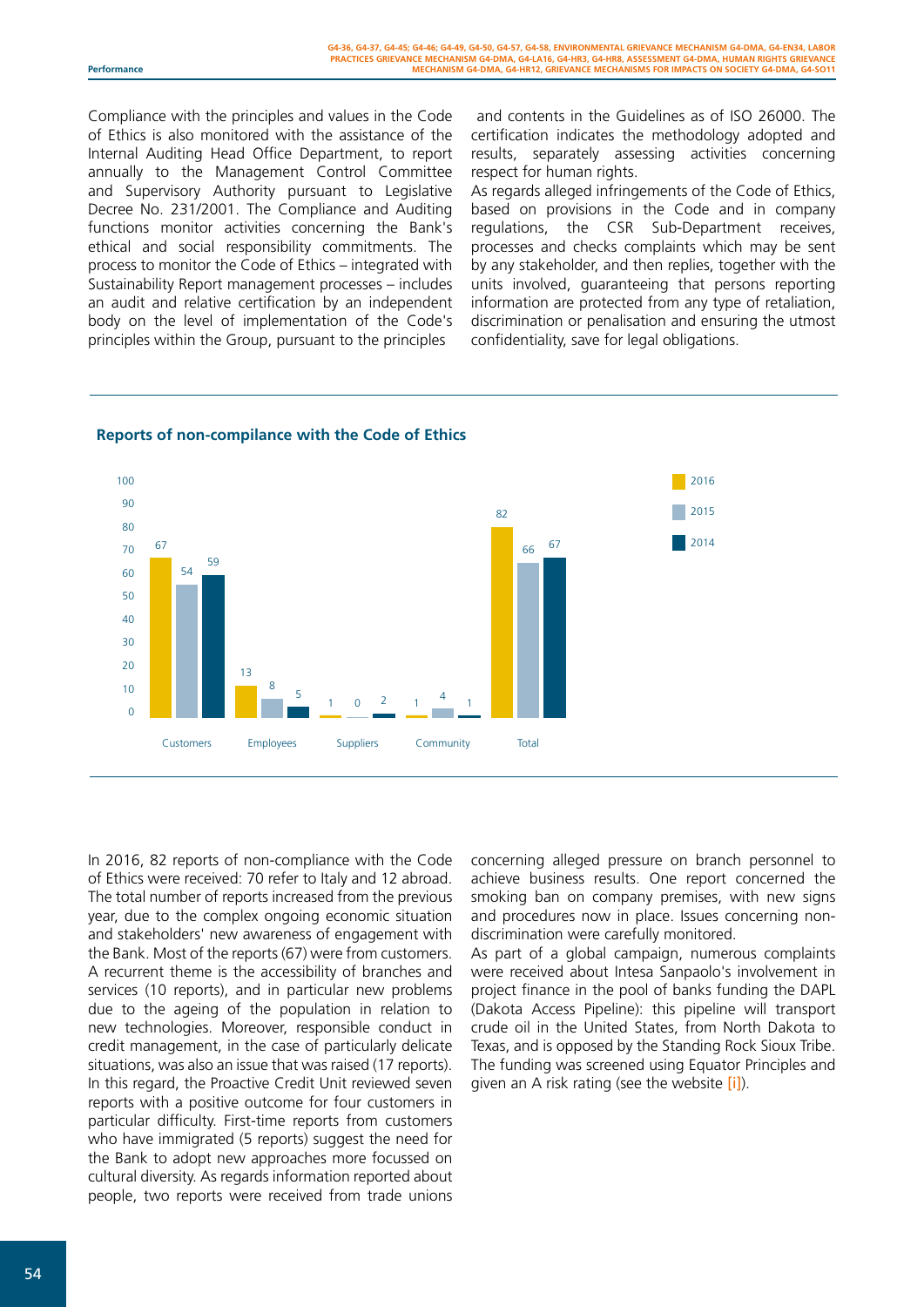Compliance with the principles and values in the Code of Ethics is also monitored with the assistance of the Internal Auditing Head Office Department, to report annually to the Management Control Committee and Supervisory Authority pursuant to Legislative Decree No. 231/2001. The Compliance and Auditing functions monitor activities concerning the Bank's ethical and social responsibility commitments. The process to monitor the Code of Ethics – integrated with Sustainability Report management processes – includes an audit and relative certification by an independent body on the level of implementation of the Code's principles within the Group, pursuant to the principles

 and contents in the Guidelines as of ISO 26000. The certification indicates the methodology adopted and results, separately assessing activities concerning respect for human rights.

As regards alleged infringements of the Code of Ethics, based on provisions in the Code and in company regulations, the CSR Sub-Department receives, processes and checks complaints which may be sent by any stakeholder, and then replies, together with the units involved, guaranteeing that persons reporting information are protected from any type of retaliation, discrimination or penalisation and ensuring the utmost confidentiality, save for legal obligations.



#### **Reports of non-compilance with the Code of Ethics**

In 2016, 82 reports of non-compliance with the Code of Ethics were received: 70 refer to Italy and 12 abroad. The total number of reports increased from the previous year, due to the complex ongoing economic situation and stakeholders' new awareness of engagement with the Bank. Most of the reports (67) were from customers. A recurrent theme is the accessibility of branches and services (10 reports), and in particular new problems due to the ageing of the population in relation to new technologies. Moreover, responsible conduct in credit management, in the case of particularly delicate situations, was also an issue that was raised (17 reports). In this regard, the Proactive Credit Unit reviewed seven reports with a positive outcome for four customers in particular difficulty. First-time reports from customers who have immigrated (5 reports) suggest the need for the Bank to adopt new approaches more focussed on cultural diversity. As regards information reported about people, two reports were received from trade unions

concerning alleged pressure on branch personnel to achieve business results. One report concerned the smoking ban on company premises, with new signs and procedures now in place. Issues concerning nondiscrimination were carefully monitored.

As part of a global campaign, numerous complaints were received about Intesa Sanpaolo's involvement in project finance in the pool of banks funding the DAPL (Dakota Access Pipeline): this pipeline will transport crude oil in the United States, from North Dakota to Texas, and is opposed by the Standing Rock Sioux Tribe. The funding was screened using Equator Principles and given an A risk rating (see the website [\[i\]](http://www.group.intesasanpaolo.com/scriptIsir0/si09/sostenibilita/eng_equator_principles.jsp)).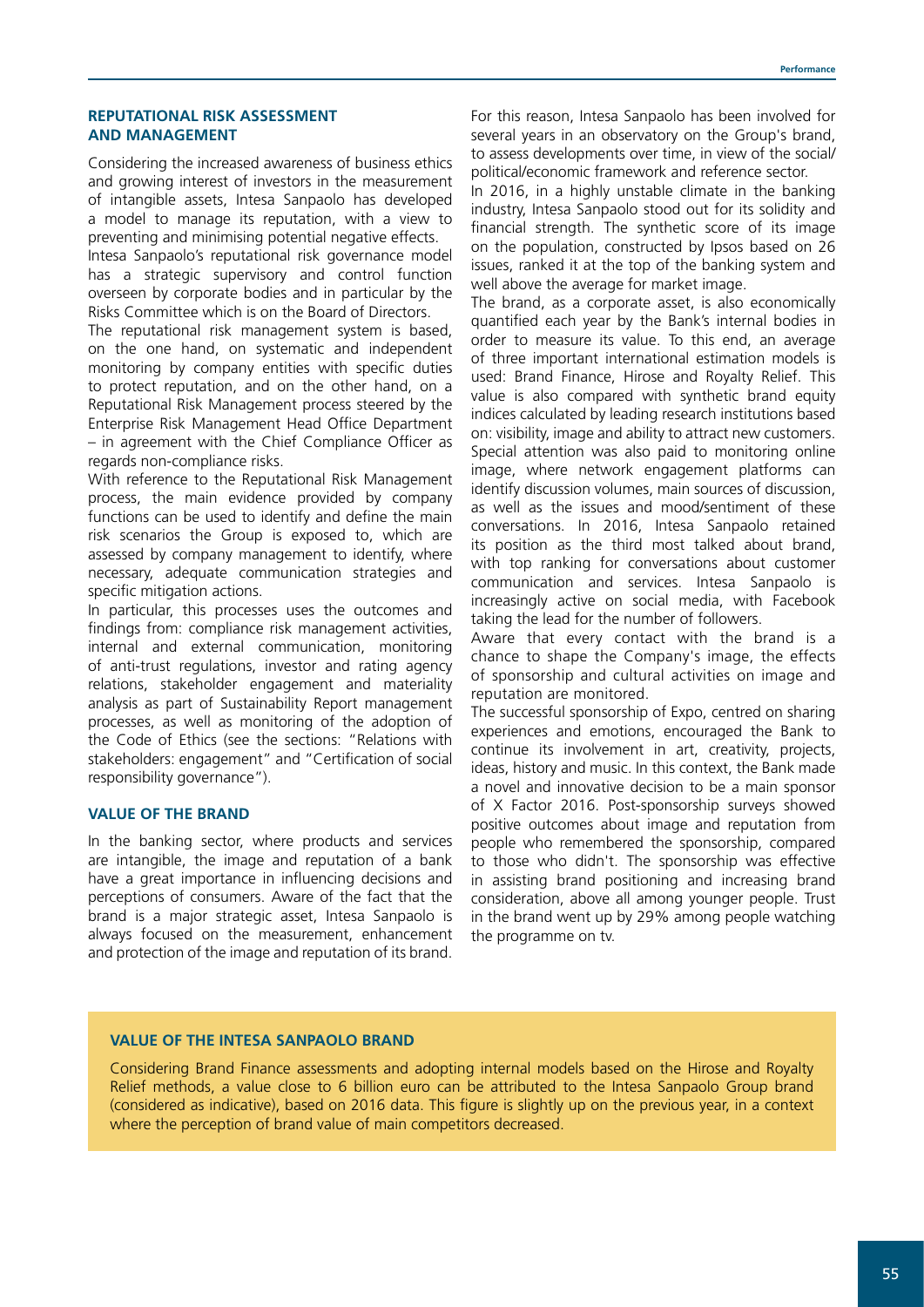#### **REPUTATIONAL RISK ASSESSMENT AND MANAGEMENT**

Considering the increased awareness of business ethics and growing interest of investors in the measurement of intangible assets, Intesa Sanpaolo has developed a model to manage its reputation, with a view to preventing and minimising potential negative effects.

Intesa Sanpaolo's reputational risk governance model has a strategic supervisory and control function overseen by corporate bodies and in particular by the Risks Committee which is on the Board of Directors.

The reputational risk management system is based, on the one hand, on systematic and independent monitoring by company entities with specific duties to protect reputation, and on the other hand, on a Reputational Risk Management process steered by the Enterprise Risk Management Head Office Department – in agreement with the Chief Compliance Officer as regards non-compliance risks.

With reference to the Reputational Risk Management process, the main evidence provided by company functions can be used to identify and define the main risk scenarios the Group is exposed to, which are assessed by company management to identify, where necessary, adequate communication strategies and specific mitigation actions.

In particular, this processes uses the outcomes and findings from: compliance risk management activities, internal and external communication, monitoring of anti-trust regulations, investor and rating agency relations, stakeholder engagement and materiality analysis as part of Sustainability Report management processes, as well as monitoring of the adoption of the Code of Ethics (see the sections: "Relations with stakeholders: engagement" and "Certification of social responsibility governance").

#### **VALUE OF THE BRAND**

In the banking sector, where products and services are intangible, the image and reputation of a bank have a great importance in influencing decisions and perceptions of consumers. Aware of the fact that the brand is a major strategic asset, Intesa Sanpaolo is always focused on the measurement, enhancement and protection of the image and reputation of its brand.

For this reason, Intesa Sanpaolo has been involved for several years in an observatory on the Group's brand, to assess developments over time, in view of the social/ political/economic framework and reference sector.

In 2016, in a highly unstable climate in the banking industry, Intesa Sanpaolo stood out for its solidity and financial strength. The synthetic score of its image on the population, constructed by Ipsos based on 26 issues, ranked it at the top of the banking system and well above the average for market image.

The brand, as a corporate asset, is also economically quantified each year by the Bank's internal bodies in order to measure its value. To this end, an average of three important international estimation models is used: Brand Finance, Hirose and Royalty Relief. This value is also compared with synthetic brand equity indices calculated by leading research institutions based on: visibility, image and ability to attract new customers. Special attention was also paid to monitoring online image, where network engagement platforms can identify discussion volumes, main sources of discussion, as well as the issues and mood/sentiment of these conversations. In 2016, Intesa Sanpaolo retained its position as the third most talked about brand, with top ranking for conversations about customer communication and services. Intesa Sanpaolo is increasingly active on social media, with Facebook taking the lead for the number of followers.

Aware that every contact with the brand is a chance to shape the Company's image, the effects of sponsorship and cultural activities on image and reputation are monitored.

The successful sponsorship of Expo, centred on sharing experiences and emotions, encouraged the Bank to continue its involvement in art, creativity, projects, ideas, history and music. In this context, the Bank made a novel and innovative decision to be a main sponsor of X Factor 2016. Post-sponsorship surveys showed positive outcomes about image and reputation from people who remembered the sponsorship, compared to those who didn't. The sponsorship was effective in assisting brand positioning and increasing brand consideration, above all among younger people. Trust in the brand went up by 29% among people watching the programme on tv.

#### **VALUE OF THE INTESA SANPAOLO BRAND**

Considering Brand Finance assessments and adopting internal models based on the Hirose and Royalty Relief methods, a value close to 6 billion euro can be attributed to the Intesa Sanpaolo Group brand (considered as indicative), based on 2016 data. This figure is slightly up on the previous year, in a context where the perception of brand value of main competitors decreased.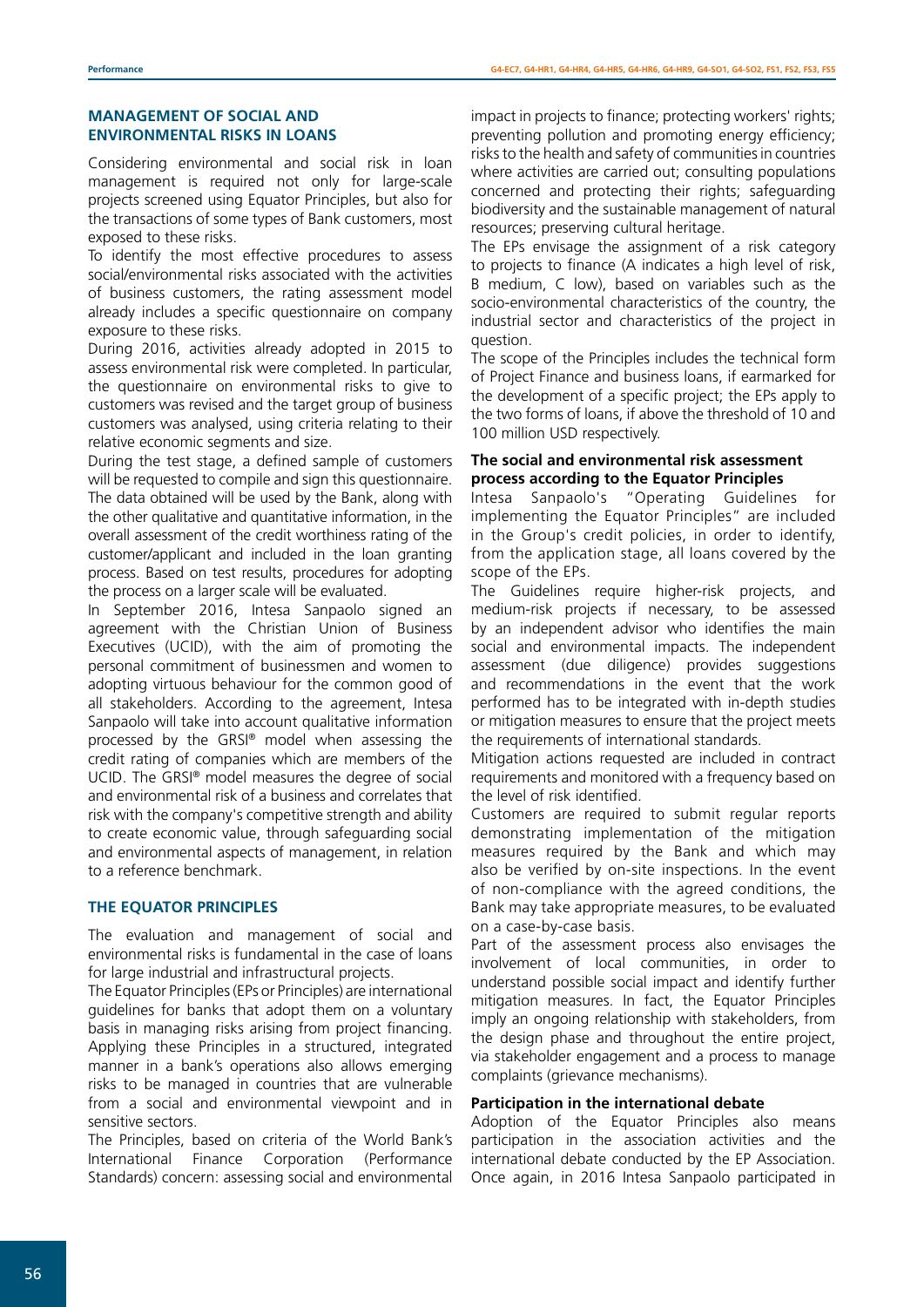# **MANAGEMENT OF SOCIAL AND ENVIRONMENTAL RISKS IN LOANS**

Considering environmental and social risk in loan management is required not only for large-scale projects screened using Equator Principles, but also for the transactions of some types of Bank customers, most exposed to these risks.

To identify the most effective procedures to assess social/environmental risks associated with the activities of business customers, the rating assessment model already includes a specific questionnaire on company exposure to these risks.

During 2016, activities already adopted in 2015 to assess environmental risk were completed. In particular, the questionnaire on environmental risks to give to customers was revised and the target group of business customers was analysed, using criteria relating to their relative economic segments and size.

During the test stage, a defined sample of customers will be requested to compile and sign this questionnaire. The data obtained will be used by the Bank, along with the other qualitative and quantitative information, in the overall assessment of the credit worthiness rating of the customer/applicant and included in the loan granting process. Based on test results, procedures for adopting the process on a larger scale will be evaluated.

In September 2016, Intesa Sanpaolo signed an agreement with the Christian Union of Business Executives (UCID), with the aim of promoting the personal commitment of businessmen and women to adopting virtuous behaviour for the common good of all stakeholders. According to the agreement, Intesa Sanpaolo will take into account qualitative information processed by the GRSI® model when assessing the credit rating of companies which are members of the UCID. The GRSI® model measures the degree of social and environmental risk of a business and correlates that risk with the company's competitive strength and ability to create economic value, through safeguarding social and environmental aspects of management, in relation to a reference benchmark.

# **THE EQUATOR PRINCIPLES**

The evaluation and management of social and environmental risks is fundamental in the case of loans for large industrial and infrastructural projects.

The Equator Principles (EPs or Principles) are international guidelines for banks that adopt them on a voluntary basis in managing risks arising from project financing. Applying these Principles in a structured, integrated manner in a bank's operations also allows emerging risks to be managed in countries that are vulnerable from a social and environmental viewpoint and in sensitive sectors.

The Principles, based on criteria of the World Bank's International Finance Corporation (Performance Standards) concern: assessing social and environmental impact in projects to finance; protecting workers' rights; preventing pollution and promoting energy efficiency; risks to the health and safety of communities in countries where activities are carried out; consulting populations concerned and protecting their rights; safeguarding biodiversity and the sustainable management of natural resources; preserving cultural heritage.

The EPs envisage the assignment of a risk category to projects to finance (A indicates a high level of risk, B medium, C low), based on variables such as the socio-environmental characteristics of the country, the industrial sector and characteristics of the project in question.

The scope of the Principles includes the technical form of Project Finance and business loans, if earmarked for the development of a specific project; the EPs apply to the two forms of loans, if above the threshold of 10 and 100 million USD respectively.

# **The social and environmental risk assessment process according to the Equator Principles**

Intesa Sanpaolo's "Operating Guidelines for implementing the Equator Principles" are included in the Group's credit policies, in order to identify, from the application stage, all loans covered by the scope of the EPs.

The Guidelines require higher-risk projects, and medium-risk projects if necessary, to be assessed by an independent advisor who identifies the main social and environmental impacts. The independent assessment (due diligence) provides suggestions and recommendations in the event that the work performed has to be integrated with in-depth studies or mitigation measures to ensure that the project meets the requirements of international standards.

Mitigation actions requested are included in contract requirements and monitored with a frequency based on the level of risk identified.

Customers are required to submit regular reports demonstrating implementation of the mitigation measures required by the Bank and which may also be verified by on-site inspections. In the event of non-compliance with the agreed conditions, the Bank may take appropriate measures, to be evaluated on a case-by-case basis.

Part of the assessment process also envisages the involvement of local communities, in order to understand possible social impact and identify further mitigation measures. In fact, the Equator Principles imply an ongoing relationship with stakeholders, from the design phase and throughout the entire project, via stakeholder engagement and a process to manage complaints (grievance mechanisms).

# **Participation in the international debate**

Adoption of the Equator Principles also means participation in the association activities and the international debate conducted by the EP Association. Once again, in 2016 Intesa Sanpaolo participated in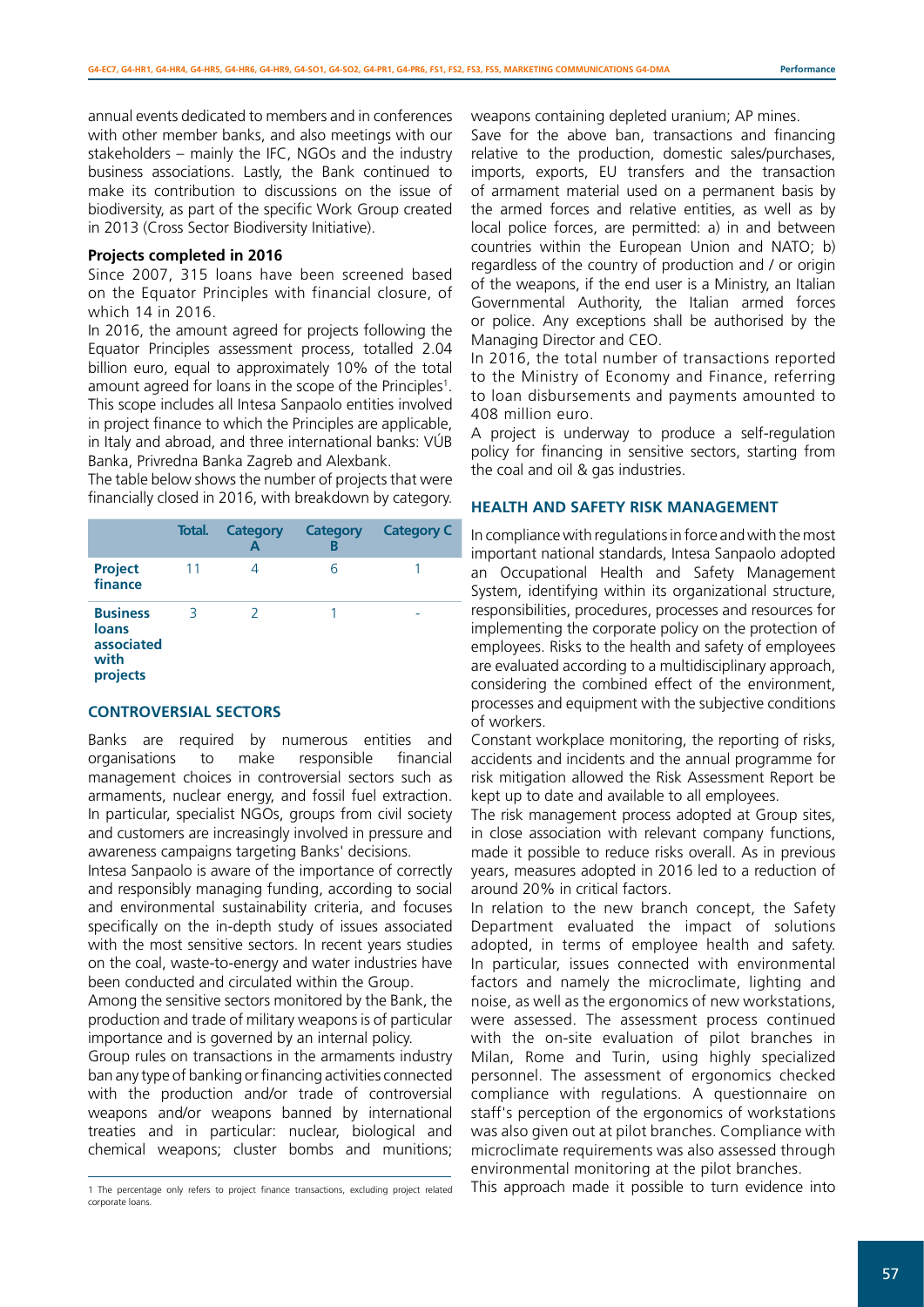annual events dedicated to members and in conferences with other member banks, and also meetings with our stakeholders – mainly the IFC, NGOs and the industry business associations. Lastly, the Bank continued to make its contribution to discussions on the issue of biodiversity, as part of the specific Work Group created in 2013 (Cross Sector Biodiversity Initiative).

#### **Projects completed in 2016**

Since 2007, 315 loans have been screened based on the Equator Principles with financial closure, of which 14 in 2016.

In 2016, the amount agreed for projects following the Equator Principles assessment process, totalled 2.04 billion euro, equal to approximately 10% of the total amount agreed for loans in the scope of the Principles<sup>1</sup>. This scope includes all Intesa Sanpaolo entities involved in project finance to which the Principles are applicable, in Italy and abroad, and three international banks: VÚB Banka, Privredna Banka Zagreb and Alexbank.

The table below shows the number of projects that were financially closed in 2016, with breakdown by category.

|                                                            | Total. | <b>Category</b><br>А | Category<br>В | <b>Category C</b> |
|------------------------------------------------------------|--------|----------------------|---------------|-------------------|
| <b>Project</b><br>finance                                  | 11     |                      | 6             |                   |
| <b>Business</b><br>loans<br>associated<br>with<br>projects | 3      | 2                    |               |                   |

### **CONTROVERSIAL SECTORS**

Banks are required by numerous entities and organisations to make responsible financial management choices in controversial sectors such as armaments, nuclear energy, and fossil fuel extraction. In particular, specialist NGOs, groups from civil society and customers are increasingly involved in pressure and awareness campaigns targeting Banks' decisions.

Intesa Sanpaolo is aware of the importance of correctly and responsibly managing funding, according to social and environmental sustainability criteria, and focuses specifically on the in-depth study of issues associated with the most sensitive sectors. In recent years studies on the coal, waste-to-energy and water industries have been conducted and circulated within the Group.

Among the sensitive sectors monitored by the Bank, the production and trade of military weapons is of particular importance and is governed by an internal policy.

Group rules on transactions in the armaments industry ban any type of banking or financing activities connected with the production and/or trade of controversial weapons and/or weapons banned by international treaties and in particular: nuclear, biological and chemical weapons; cluster bombs and munitions;

weapons containing depleted uranium; AP mines.

Save for the above ban, transactions and financing relative to the production, domestic sales/purchases, imports, exports, EU transfers and the transaction of armament material used on a permanent basis by the armed forces and relative entities, as well as by local police forces, are permitted: a) in and between countries within the European Union and NATO; b) regardless of the country of production and / or origin of the weapons, if the end user is a Ministry, an Italian Governmental Authority, the Italian armed forces or police. Any exceptions shall be authorised by the Managing Director and CEO.

In 2016, the total number of transactions reported to the Ministry of Economy and Finance, referring to loan disbursements and payments amounted to 408 million euro.

A project is underway to produce a self-regulation policy for financing in sensitive sectors, starting from the coal and oil & gas industries.

#### **HEALTH AND SAFETY RISK MANAGEMENT**

In compliance with regulations in force and with the most important national standards, Intesa Sanpaolo adopted an Occupational Health and Safety Management System, identifying within its organizational structure, responsibilities, procedures, processes and resources for implementing the corporate policy on the protection of employees. Risks to the health and safety of employees are evaluated according to a multidisciplinary approach, considering the combined effect of the environment, processes and equipment with the subjective conditions of workers.

Constant workplace monitoring, the reporting of risks, accidents and incidents and the annual programme for risk mitigation allowed the Risk Assessment Report be kept up to date and available to all employees.

The risk management process adopted at Group sites, in close association with relevant company functions, made it possible to reduce risks overall. As in previous years, measures adopted in 2016 led to a reduction of around 20% in critical factors.

In relation to the new branch concept, the Safety Department evaluated the impact of solutions adopted, in terms of employee health and safety. In particular, issues connected with environmental factors and namely the microclimate, lighting and noise, as well as the ergonomics of new workstations, were assessed. The assessment process continued with the on-site evaluation of pilot branches in Milan, Rome and Turin, using highly specialized personnel. The assessment of ergonomics checked compliance with regulations. A questionnaire on staff's perception of the ergonomics of workstations was also given out at pilot branches. Compliance with microclimate requirements was also assessed through environmental monitoring at the pilot branches.

This approach made it possible to turn evidence into

<sup>1</sup> The percentage only refers to project finance transactions, excluding project related corporate loans.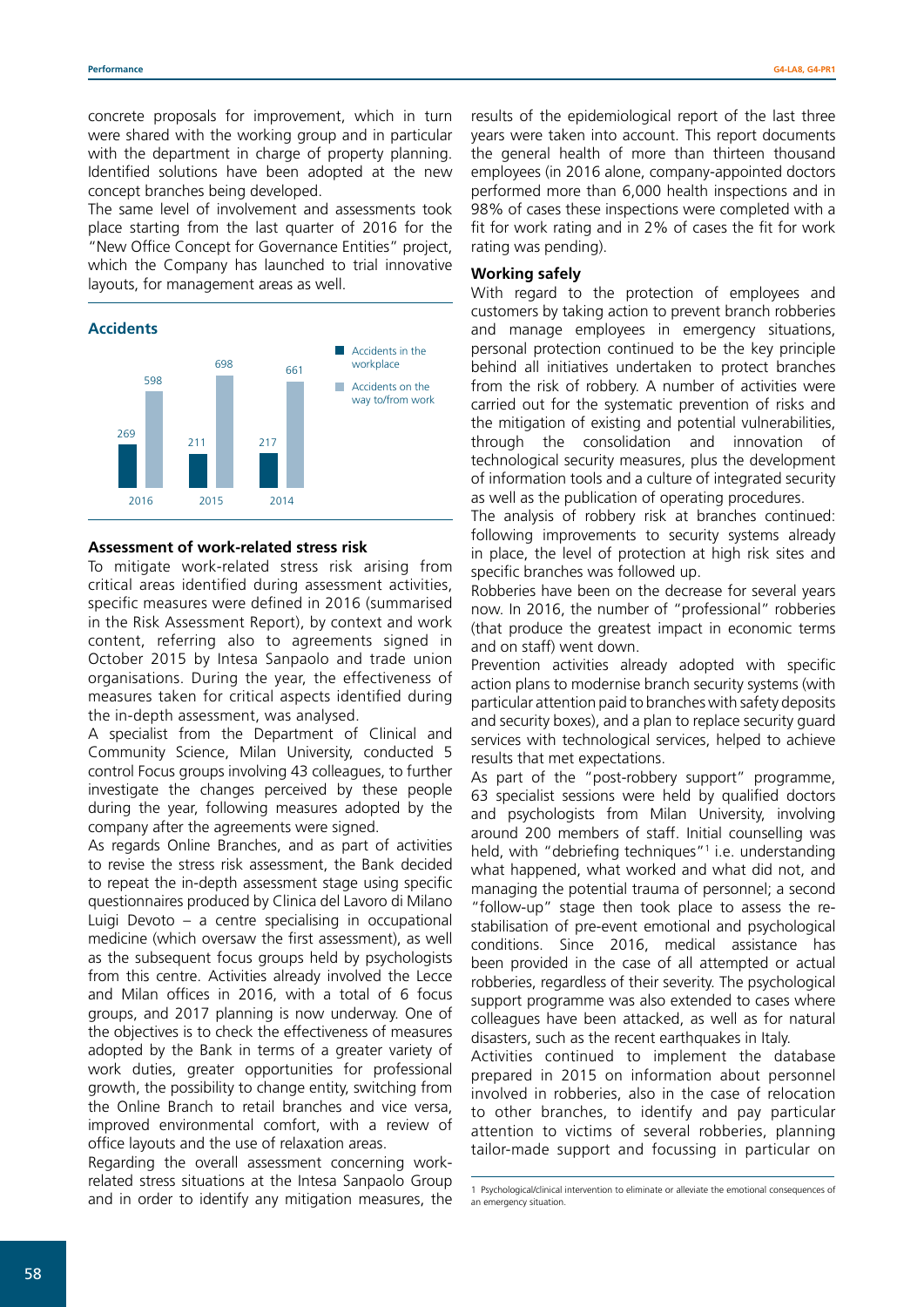concrete proposals for improvement, which in turn were shared with the working group and in particular with the department in charge of property planning. Identified solutions have been adopted at the new concept branches being developed.

The same level of involvement and assessments took place starting from the last quarter of 2016 for the "New Office Concept for Governance Entities" project, which the Company has launched to trial innovative layouts, for management areas as well.



#### **Assessment of work-related stress risk**

To mitigate work-related stress risk arising from critical areas identified during assessment activities, specific measures were defined in 2016 (summarised in the Risk Assessment Report), by context and work content, referring also to agreements signed in October 2015 by Intesa Sanpaolo and trade union organisations. During the year, the effectiveness of measures taken for critical aspects identified during the in-depth assessment, was analysed.

A specialist from the Department of Clinical and Community Science, Milan University, conducted 5 control Focus groups involving 43 colleagues, to further investigate the changes perceived by these people during the year, following measures adopted by the company after the agreements were signed.

As regards Online Branches, and as part of activities to revise the stress risk assessment, the Bank decided to repeat the in-depth assessment stage using specific questionnaires produced by Clinica del Lavoro di Milano Luigi Devoto – a centre specialising in occupational medicine (which oversaw the first assessment), as well as the subsequent focus groups held by psychologists from this centre. Activities already involved the Lecce and Milan offices in 2016, with a total of 6 focus groups, and 2017 planning is now underway. One of the objectives is to check the effectiveness of measures adopted by the Bank in terms of a greater variety of work duties, greater opportunities for professional growth, the possibility to change entity, switching from the Online Branch to retail branches and vice versa, improved environmental comfort, with a review of office layouts and the use of relaxation areas.

Regarding the overall assessment concerning workrelated stress situations at the Intesa Sanpaolo Group and in order to identify any mitigation measures, the

results of the epidemiological report of the last three years were taken into account. This report documents the general health of more than thirteen thousand employees (in 2016 alone, company-appointed doctors performed more than 6,000 health inspections and in 98% of cases these inspections were completed with a fit for work rating and in 2% of cases the fit for work rating was pending).

#### **Working safely**

With regard to the protection of employees and customers by taking action to prevent branch robberies and manage employees in emergency situations, personal protection continued to be the key principle behind all initiatives undertaken to protect branches from the risk of robbery. A number of activities were carried out for the systematic prevention of risks and the mitigation of existing and potential vulnerabilities, through the consolidation and innovation of technological security measures, plus the development of information tools and a culture of integrated security as well as the publication of operating procedures.

The analysis of robbery risk at branches continued: following improvements to security systems already in place, the level of protection at high risk sites and specific branches was followed up.

Robberies have been on the decrease for several years now. In 2016, the number of "professional" robberies (that produce the greatest impact in economic terms and on staff) went down.

Prevention activities already adopted with specific action plans to modernise branch security systems (with particular attention paid to branches with safety deposits and security boxes), and a plan to replace security guard services with technological services, helped to achieve results that met expectations.

As part of the "post-robbery support" programme, 63 specialist sessions were held by qualified doctors and psychologists from Milan University, involving around 200 members of staff. Initial counselling was held, with "debriefing techniques"<sup>1</sup> i.e. understanding what happened, what worked and what did not, and managing the potential trauma of personnel; a second "follow-up" stage then took place to assess the restabilisation of pre-event emotional and psychological conditions. Since 2016, medical assistance has been provided in the case of all attempted or actual robberies, regardless of their severity. The psychological support programme was also extended to cases where colleagues have been attacked, as well as for natural disasters, such as the recent earthquakes in Italy.

Activities continued to implement the database prepared in 2015 on information about personnel involved in robberies, also in the case of relocation to other branches, to identify and pay particular attention to victims of several robberies, planning tailor-made support and focussing in particular on

<sup>1</sup> Psychological/clinical intervention to eliminate or alleviate the emotional consequences of an emergency situation.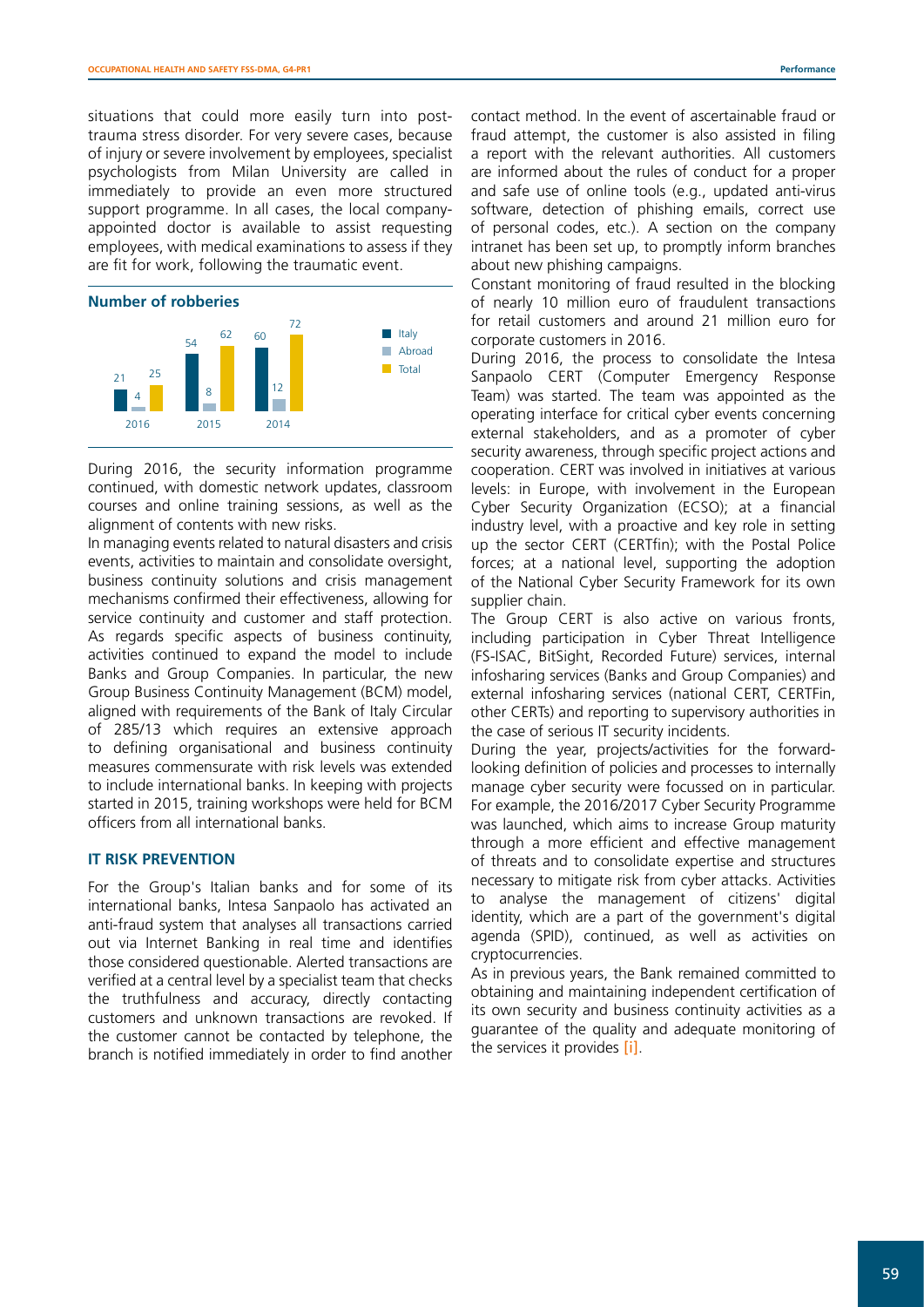situations that could more easily turn into posttrauma stress disorder. For very severe cases, because of injury or severe involvement by employees, specialist psychologists from Milan University are called in immediately to provide an even more structured support programme. In all cases, the local companyappointed doctor is available to assist requesting employees, with medical examinations to assess if they are fit for work, following the traumatic event.



During 2016, the security information programme continued, with domestic network updates, classroom courses and online training sessions, as well as the alignment of contents with new risks.

In managing events related to natural disasters and crisis events, activities to maintain and consolidate oversight, business continuity solutions and crisis management mechanisms confirmed their effectiveness, allowing for service continuity and customer and staff protection. As regards specific aspects of business continuity, activities continued to expand the model to include Banks and Group Companies. In particular, the new Group Business Continuity Management (BCM) model, aligned with requirements of the Bank of Italy Circular of 285/13 which requires an extensive approach to defining organisational and business continuity measures commensurate with risk levels was extended to include international banks. In keeping with projects started in 2015, training workshops were held for BCM officers from all international banks.

#### **IT RISK PREVENTION**

For the Group's Italian banks and for some of its international banks, Intesa Sanpaolo has activated an anti-fraud system that analyses all transactions carried out via Internet Banking in real time and identifies those considered questionable. Alerted transactions are verified at a central level by a specialist team that checks the truthfulness and accuracy, directly contacting customers and unknown transactions are revoked. If the customer cannot be contacted by telephone, the branch is notified immediately in order to find another

contact method. In the event of ascertainable fraud or fraud attempt, the customer is also assisted in filing a report with the relevant authorities. All customers are informed about the rules of conduct for a proper and safe use of online tools (e.g., updated anti-virus software, detection of phishing emails, correct use of personal codes, etc.). A section on the company intranet has been set up, to promptly inform branches about new phishing campaigns.

Constant monitoring of fraud resulted in the blocking of nearly 10 million euro of fraudulent transactions for retail customers and around 21 million euro for corporate customers in 2016.

During 2016, the process to consolidate the Intesa Sanpaolo CERT (Computer Emergency Response Team) was started. The team was appointed as the operating interface for critical cyber events concerning external stakeholders, and as a promoter of cyber security awareness, through specific project actions and cooperation. CERT was involved in initiatives at various levels: in Europe, with involvement in the European Cyber Security Organization (ECSO); at a financial industry level, with a proactive and key role in setting up the sector CERT (CERTfin); with the Postal Police forces; at a national level, supporting the adoption of the National Cyber Security Framework for its own supplier chain.

The Group CERT is also active on various fronts, including participation in Cyber Threat Intelligence (FS-ISAC, BitSight, Recorded Future) services, internal infosharing services (Banks and Group Companies) and external infosharing services (national CERT, CERTFin, other CERTs) and reporting to supervisory authorities in the case of serious IT security incidents.

During the year, projects/activities for the forwardlooking definition of policies and processes to internally manage cyber security were focussed on in particular. For example, the 2016/2017 Cyber Security Programme was launched, which aims to increase Group maturity through a more efficient and effective management of threats and to consolidate expertise and structures necessary to mitigate risk from cyber attacks. Activities to analyse the management of citizens' digital identity, which are a part of the government's digital agenda (SPID), continued, as well as activities on cryptocurrencies.

As in previous years, the Bank remained committed to obtaining and maintaining independent certification of its own security and business continuity activities as a guarantee of the quality and adequate monitoring of the services it provides [\[i\]](http://www.group.intesasanpaolo.com/scriptIsir0/si09/sostenibilita/eng_policy.jsp?tabId=certificazioni&tabParams=eyd0YWJJZCc6J2NlcnRpZmljYXppb25pJ30_).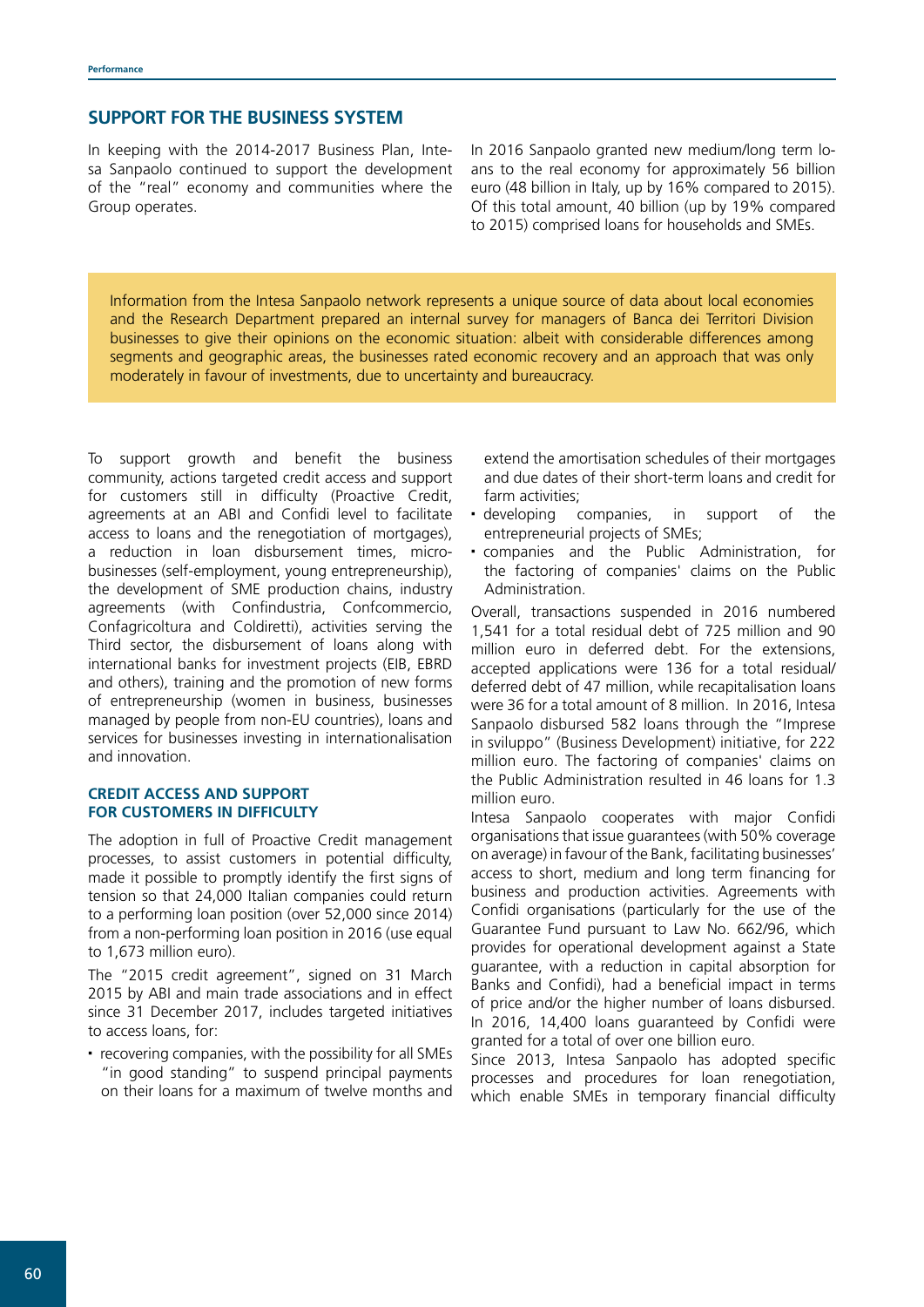# **SUPPORT FOR THE BUSINESS SYSTEM**

In keeping with the 2014-2017 Business Plan, Intesa Sanpaolo continued to support the development of the "real" economy and communities where the Group operates.

In 2016 Sanpaolo granted new medium/long term loans to the real economy for approximately 56 billion euro (48 billion in Italy, up by 16% compared to 2015). Of this total amount, 40 billion (up by 19% compared to 2015) comprised loans for households and SMEs.

Information from the Intesa Sanpaolo network represents a unique source of data about local economies and the Research Department prepared an internal survey for managers of Banca dei Territori Division businesses to give their opinions on the economic situation: albeit with considerable differences among segments and geographic areas, the businesses rated economic recovery and an approach that was only moderately in favour of investments, due to uncertainty and bureaucracy.

To support growth and benefit the business community, actions targeted credit access and support for customers still in difficulty (Proactive Credit, agreements at an ABI and Confidi level to facilitate access to loans and the renegotiation of mortgages), a reduction in loan disbursement times, microbusinesses (self-employment, young entrepreneurship), the development of SME production chains, industry agreements (with Confindustria, Confcommercio, Confagricoltura and Coldiretti), activities serving the Third sector, the disbursement of loans along with international banks for investment projects (EIB, EBRD and others), training and the promotion of new forms of entrepreneurship (women in business, businesses managed by people from non-EU countries), loans and services for businesses investing in internationalisation and innovation.

# **CREDIT ACCESS AND SUPPORT FOR CUSTOMERS IN DIFFICULTY**

The adoption in full of Proactive Credit management processes, to assist customers in potential difficulty, made it possible to promptly identify the first signs of tension so that 24,000 Italian companies could return to a performing loan position (over 52,000 since 2014) from a non-performing loan position in 2016 (use equal to 1,673 million euro).

The "2015 credit agreement", signed on 31 March 2015 by ABI and main trade associations and in effect since 31 December 2017, includes targeted initiatives to access loans, for:

• recovering companies, with the possibility for all SMEs "in good standing" to suspend principal payments on their loans for a maximum of twelve months and extend the amortisation schedules of their mortgages and due dates of their short-term loans and credit for farm activities;

- developing companies, in support of the entrepreneurial projects of SMEs;
- companies and the Public Administration, for the factoring of companies' claims on the Public Administration.

Overall, transactions suspended in 2016 numbered 1,541 for a total residual debt of 725 million and 90 million euro in deferred debt. For the extensions, accepted applications were 136 for a total residual/ deferred debt of 47 million, while recapitalisation loans were 36 for a total amount of 8 million. In 2016, Intesa Sanpaolo disbursed 582 loans through the "Imprese in sviluppo" (Business Development) initiative, for 222 million euro. The factoring of companies' claims on the Public Administration resulted in 46 loans for 1.3 million euro.

Intesa Sanpaolo cooperates with major Confidi organisations that issue guarantees (with 50% coverage on average) in favour of the Bank, facilitating businesses' access to short, medium and long term financing for business and production activities. Agreements with Confidi organisations (particularly for the use of the Guarantee Fund pursuant to Law No. 662/96, which provides for operational development against a State guarantee, with a reduction in capital absorption for Banks and Confidi), had a beneficial impact in terms of price and/or the higher number of loans disbursed. In 2016, 14,400 loans guaranteed by Confidi were granted for a total of over one billion euro.

Since 2013, Intesa Sanpaolo has adopted specific processes and procedures for loan renegotiation, which enable SMEs in temporary financial difficulty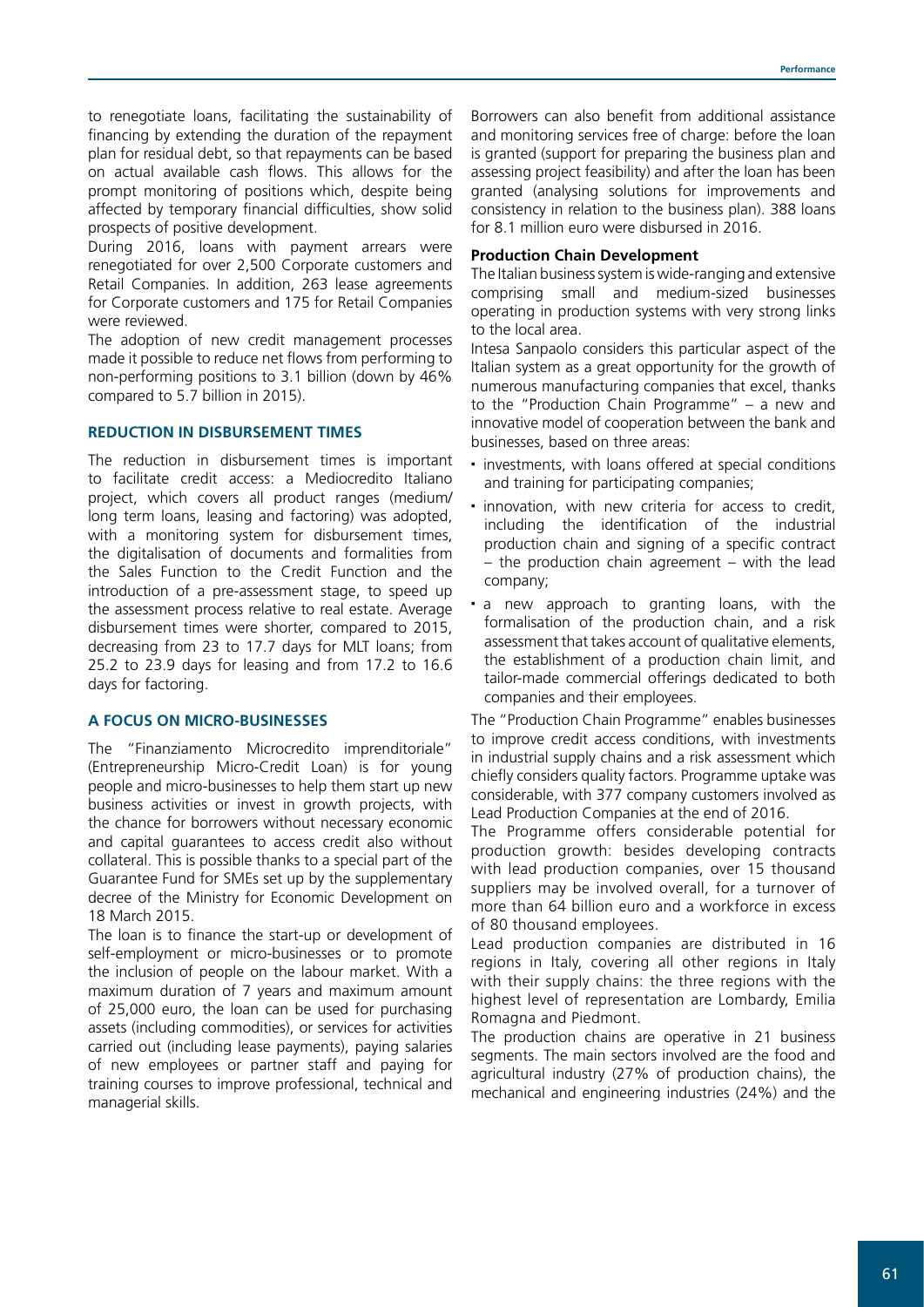to renegotiate loans, facilitating the sustainability of financing by extending the duration of the repayment plan for residual debt, so that repayments can be based on actual available cash flows. This allows for the prompt monitoring of positions which, despite being affected by temporary financial difficulties, show solid prospects of positive development.

During 2016, loans with payment arrears were renegotiated for over 2,500 Corporate customers and Retail Companies. In addition, 263 lease agreements for Corporate customers and 175 for Retail Companies were reviewed.

The adoption of new credit management processes made it possible to reduce net flows from performing to non-performing positions to 3.1 billion (down by 46% compared to 5.7 billion in 2015).

#### **REDUCTION IN DISBURSEMENT TIMES**

The reduction in disbursement times is important to facilitate credit access: a Mediocredito Italiano project, which covers all product ranges (medium/ long term loans, leasing and factoring) was adopted, with a monitoring system for disbursement times, the digitalisation of documents and formalities from the Sales Function to the Credit Function and the introduction of a pre-assessment stage, to speed up the assessment process relative to real estate. Average disbursement times were shorter, compared to 2015, decreasing from 23 to 17.7 days for MLT loans; from 25.2 to 23.9 days for leasing and from 17.2 to 16.6 days for factoring.

#### **A FOCUS ON MICRO-BUSINESSES**

The "Finanziamento Microcredito imprenditoriale" (Entrepreneurship Micro-Credit Loan) is for young people and micro-businesses to help them start up new business activities or invest in growth projects, with the chance for borrowers without necessary economic and capital guarantees to access credit also without collateral. This is possible thanks to a special part of the Guarantee Fund for SMEs set up by the supplementary decree of the Ministry for Economic Development on 18 March 2015.

The loan is to finance the start-up or development of self-employment or micro-businesses or to promote the inclusion of people on the labour market. With a maximum duration of 7 years and maximum amount of 25,000 euro, the loan can be used for purchasing assets (including commodities), or services for activities carried out (including lease payments), paying salaries of new employees or partner staff and paying for training courses to improve professional, technical and managerial skills.

Borrowers can also benefit from additional assistance and monitoring services free of charge: before the loan is granted (support for preparing the business plan and assessing project feasibility) and after the loan has been granted (analysing solutions for improvements and consistency in relation to the business plan). 388 loans for 8.1 million euro were disbursed in 2016.

# **Production Chain Development**

The Italian business system is wide-ranging and extensive comprising small and medium-sized businesses operating in production systems with very strong links to the local area.

Intesa Sanpaolo considers this particular aspect of the Italian system as a great opportunity for the growth of numerous manufacturing companies that excel, thanks to the "Production Chain Programme" – a new and innovative model of cooperation between the bank and businesses, based on three areas:

- investments, with loans offered at special conditions and training for participating companies;
- $\blacksquare$  innovation, with new criteria for access to credit, including the identification of the industrial production chain and signing of a specific contract  $-$  the production chain agreement  $-$  with the lead company;
- a new approach to granting loans, with the formalisation of the production chain, and a risk assessment that takes account of qualitative elements, the establishment of a production chain limit, and tailor-made commercial offerings dedicated to both companies and their employees.

The "Production Chain Programme" enables businesses to improve credit access conditions, with investments in industrial supply chains and a risk assessment which chiefly considers quality factors. Programme uptake was considerable, with 377 company customers involved as Lead Production Companies at the end of 2016.

The Programme offers considerable potential for production growth: besides developing contracts with lead production companies, over 15 thousand suppliers may be involved overall, for a turnover of more than 64 billion euro and a workforce in excess of 80 thousand employees.

Lead production companies are distributed in 16 regions in Italy, covering all other regions in Italy with their supply chains: the three regions with the highest level of representation are Lombardy, Emilia Romagna and Piedmont.

The production chains are operative in 21 business segments. The main sectors involved are the food and agricultural industry (27% of production chains), the mechanical and engineering industries (24%) and the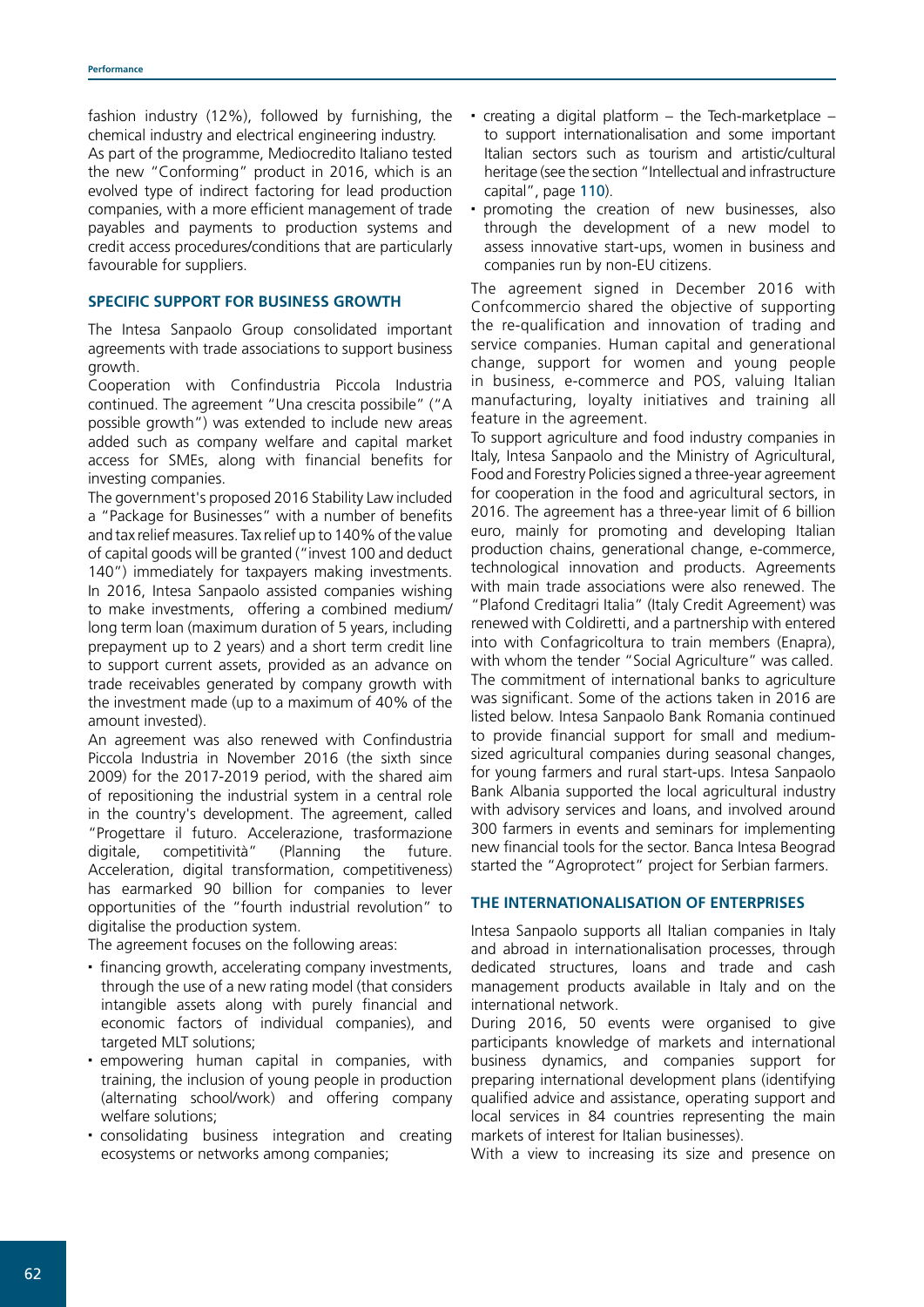fashion industry (12%), followed by furnishing, the chemical industry and electrical engineering industry.

As part of the programme, Mediocredito Italiano tested the new "Conforming" product in 2016, which is an evolved type of indirect factoring for lead production companies, with a more efficient management of trade payables and payments to production systems and credit access procedures/conditions that are particularly favourable for suppliers.

# **SPECIFIC SUPPORT FOR BUSINESS GROWTH**

The Intesa Sanpaolo Group consolidated important agreements with trade associations to support business growth.

Cooperation with Confindustria Piccola Industria continued. The agreement "Una crescita possibile" ("A possible growth") was extended to include new areas added such as company welfare and capital market access for SMEs, along with financial benefits for investing companies.

The government's proposed 2016 Stability Law included a "Package for Businesses" with a number of benefits and tax relief measures. Tax relief up to 140% of the value of capital goods will be granted ("invest 100 and deduct 140") immediately for taxpayers making investments. In 2016, Intesa Sanpaolo assisted companies wishing to make investments, offering a combined medium/ long term loan (maximum duration of 5 years, including prepayment up to 2 years) and a short term credit line to support current assets, provided as an advance on trade receivables generated by company growth with the investment made (up to a maximum of 40% of the amount invested).

An agreement was also renewed with Confindustria Piccola Industria in November 2016 (the sixth since 2009) for the 2017-2019 period, with the shared aim of repositioning the industrial system in a central role in the country's development. The agreement, called "Progettare il futuro. Accelerazione, trasformazione digitale, competitività" (Planning the future. Acceleration, digital transformation, competitiveness) has earmarked 90 billion for companies to lever opportunities of the "fourth industrial revolution" to digitalise the production system.

The agreement focuses on the following areas:

- financing growth, accelerating company investments, through the use of a new rating model (that considers intangible assets along with purely financial and economic factors of individual companies), and targeted MLT solutions;
- empowering human capital in companies, with training, the inclusion of young people in production (alternating school/work) and offering company welfare solutions;
- consolidating business integration and creating ecosystems or networks among companies;
- creating a digital platform the Tech-marketplace to support internationalisation and some important Italian sectors such as tourism and artistic/cultural heritage (see the section "Intellectual and infrastructure capital", page 110).
- promoting the creation of new businesses, also through the development of a new model to assess innovative start-ups, women in business and companies run by non-EU citizens.

The agreement signed in December 2016 with Confcommercio shared the objective of supporting the re-qualification and innovation of trading and service companies. Human capital and generational change, support for women and young people in business, e-commerce and POS, valuing Italian manufacturing, loyalty initiatives and training all feature in the agreement.

To support agriculture and food industry companies in Italy, Intesa Sanpaolo and the Ministry of Agricultural, Food and Forestry Policies signed a three-year agreement for cooperation in the food and agricultural sectors, in 2016. The agreement has a three-year limit of 6 billion euro, mainly for promoting and developing Italian production chains, generational change, e-commerce, technological innovation and products. Agreements with main trade associations were also renewed. The "Plafond Creditagri Italia" (Italy Credit Agreement) was renewed with Coldiretti, and a partnership with entered into with Confagricoltura to train members (Enapra), with whom the tender "Social Agriculture" was called. The commitment of international banks to agriculture was significant. Some of the actions taken in 2016 are listed below. Intesa Sanpaolo Bank Romania continued to provide financial support for small and mediumsized agricultural companies during seasonal changes, for young farmers and rural start-ups. Intesa Sanpaolo Bank Albania supported the local agricultural industry with advisory services and loans, and involved around 300 farmers in events and seminars for implementing new financial tools for the sector. Banca Intesa Beograd started the "Agroprotect" project for Serbian farmers.

# **THE INTERNATIONALISATION OF ENTERPRISES**

Intesa Sanpaolo supports all Italian companies in Italy and abroad in internationalisation processes, through dedicated structures, loans and trade and cash management products available in Italy and on the international network.

During 2016, 50 events were organised to give participants knowledge of markets and international business dynamics, and companies support for preparing international development plans (identifying qualified advice and assistance, operating support and local services in 84 countries representing the main markets of interest for Italian businesses).

With a view to increasing its size and presence on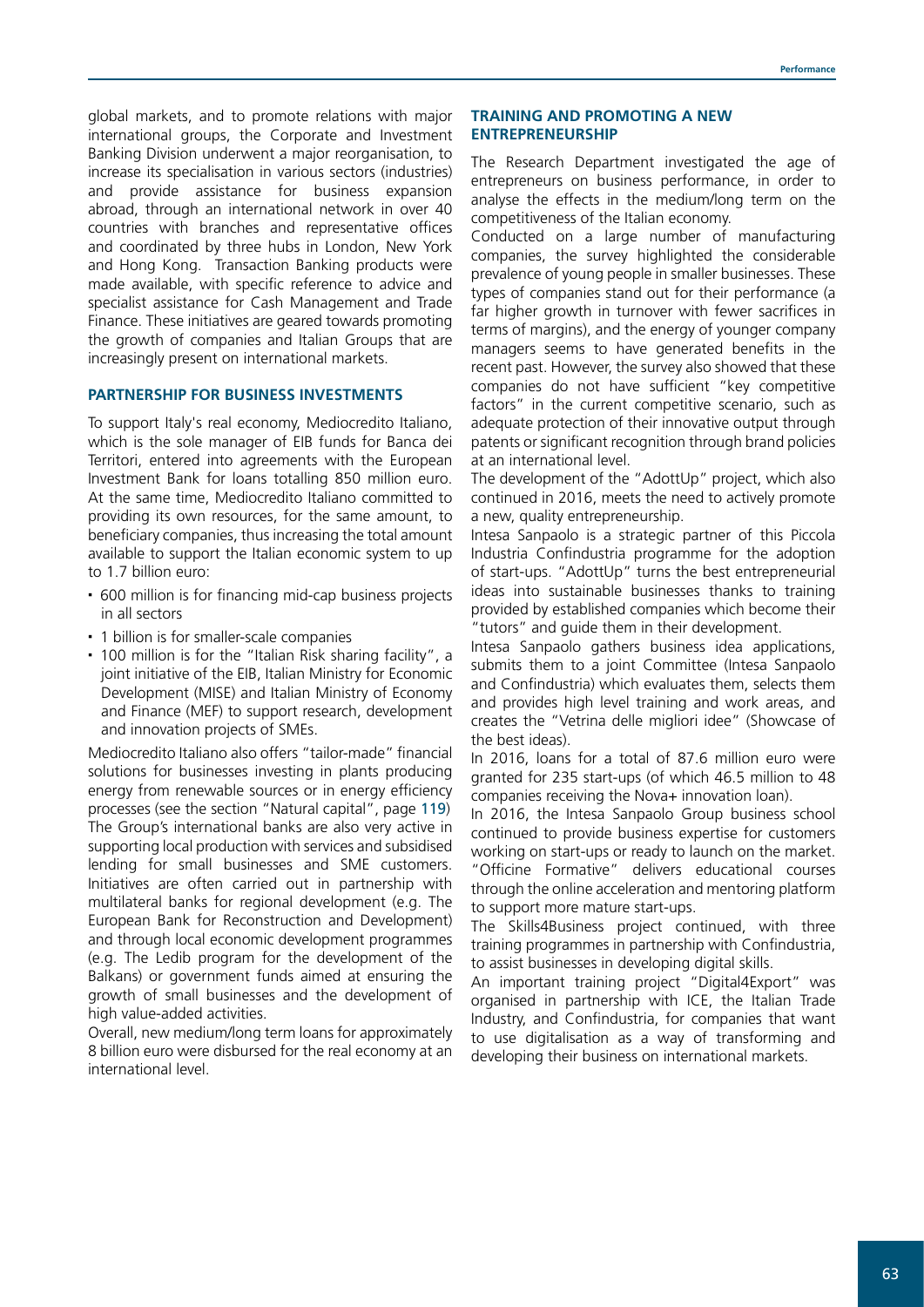global markets, and to promote relations with major international groups, the Corporate and Investment Banking Division underwent a major reorganisation, to increase its specialisation in various sectors (industries) and provide assistance for business expansion abroad, through an international network in over 40 countries with branches and representative offices and coordinated by three hubs in London, New York and Hong Kong. Transaction Banking products were made available, with specific reference to advice and specialist assistance for Cash Management and Trade Finance. These initiatives are geared towards promoting the growth of companies and Italian Groups that are increasingly present on international markets.

#### **PARTNERSHIP FOR BUSINESS INVESTMENTS**

To support Italy's real economy, Mediocredito Italiano, which is the sole manager of EIB funds for Banca dei Territori, entered into agreements with the European Investment Bank for loans totalling 850 million euro. At the same time, Mediocredito Italiano committed to providing its own resources, for the same amount, to beneficiary companies, thus increasing the total amount available to support the Italian economic system to up to 1.7 billion euro:

- 600 million is for financing mid-cap business projects in all sectors
- 1 billion is for smaller-scale companies
- 100 million is for the "Italian Risk sharing facility", a joint initiative of the EIB, Italian Ministry for Economic Development (MISE) and Italian Ministry of Economy and Finance (MEF) to support research, development and innovation projects of SMEs.

Mediocredito Italiano also offers "tailor-made" financial solutions for businesses investing in plants producing energy from renewable sources or in energy efficiency processes (see the section "Natural capital", page 119) The Group's international banks are also very active in supporting local production with services and subsidised lending for small businesses and SME customers. Initiatives are often carried out in partnership with multilateral banks for regional development (e.g. The European Bank for Reconstruction and Development) and through local economic development programmes (e.g. The Ledib program for the development of the Balkans) or government funds aimed at ensuring the growth of small businesses and the development of high value-added activities.

Overall, new medium/long term loans for approximately 8 billion euro were disbursed for the real economy at an international level.

#### **TRAINING AND PROMOTING A NEW ENTREPRENEURSHIP**

The Research Department investigated the age of entrepreneurs on business performance, in order to analyse the effects in the medium/long term on the competitiveness of the Italian economy.

Conducted on a large number of manufacturing companies, the survey highlighted the considerable prevalence of young people in smaller businesses. These types of companies stand out for their performance (a far higher growth in turnover with fewer sacrifices in terms of margins), and the energy of younger company managers seems to have generated benefits in the recent past. However, the survey also showed that these companies do not have sufficient "key competitive factors" in the current competitive scenario, such as adequate protection of their innovative output through patents or significant recognition through brand policies at an international level.

The development of the "AdottUp" project, which also continued in 2016, meets the need to actively promote a new, quality entrepreneurship.

Intesa Sanpaolo is a strategic partner of this Piccola Industria Confindustria programme for the adoption of start-ups. "AdottUp" turns the best entrepreneurial ideas into sustainable businesses thanks to training provided by established companies which become their "tutors" and guide them in their development.

Intesa Sanpaolo gathers business idea applications, submits them to a joint Committee (Intesa Sanpaolo and Confindustria) which evaluates them, selects them and provides high level training and work areas, and creates the "Vetrina delle migliori idee" (Showcase of the best ideas).

In 2016, loans for a total of 87.6 million euro were granted for 235 start-ups (of which 46.5 million to 48 companies receiving the Nova+ innovation loan).

In 2016, the Intesa Sanpaolo Group business school continued to provide business expertise for customers working on start-ups or ready to launch on the market. "Officine Formative" delivers educational courses through the online acceleration and mentoring platform to support more mature start-ups.

The Skills4Business project continued, with three training programmes in partnership with Confindustria, to assist businesses in developing digital skills.

An important training project "Digital4Export" was organised in partnership with ICE, the Italian Trade Industry, and Confindustria, for companies that want to use digitalisation as a way of transforming and developing their business on international markets.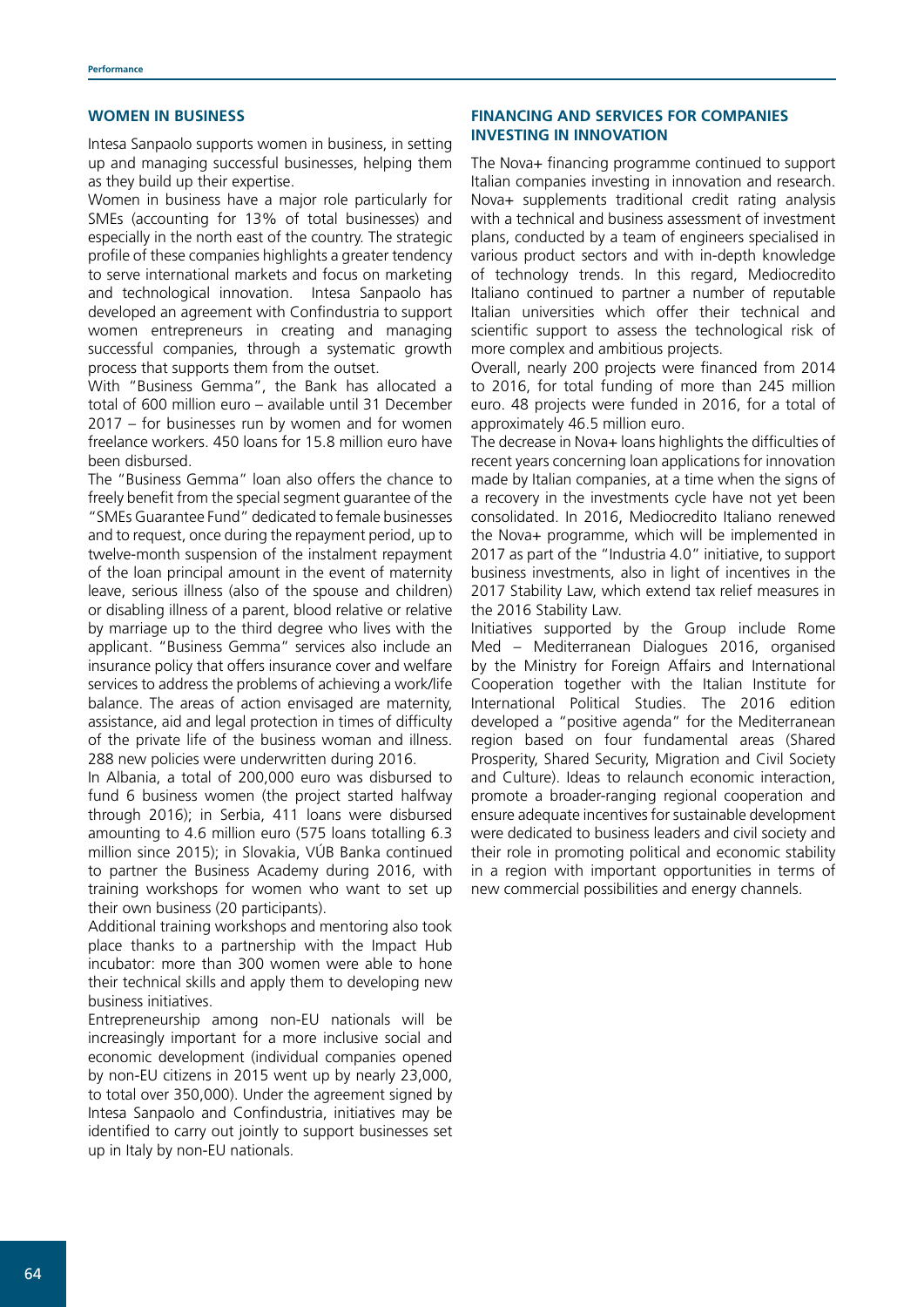#### **WOMEN IN BUSINESS**

Intesa Sanpaolo supports women in business, in setting up and managing successful businesses, helping them as they build up their expertise.

Women in business have a major role particularly for SMEs (accounting for 13% of total businesses) and especially in the north east of the country. The strategic profile of these companies highlights a greater tendency to serve international markets and focus on marketing and technological innovation. Intesa Sanpaolo has developed an agreement with Confindustria to support women entrepreneurs in creating and managing successful companies, through a systematic growth process that supports them from the outset.

With "Business Gemma", the Bank has allocated a total of 600 million euro – available until 31 December 2017 – for businesses run by women and for women freelance workers. 450 loans for 15.8 million euro have been disbursed.

The "Business Gemma" loan also offers the chance to freely benefit from the special segment guarantee of the "SMEs Guarantee Fund" dedicated to female businesses and to request, once during the repayment period, up to twelve-month suspension of the instalment repayment of the loan principal amount in the event of maternity leave, serious illness (also of the spouse and children) or disabling illness of a parent, blood relative or relative by marriage up to the third degree who lives with the applicant. "Business Gemma" services also include an insurance policy that offers insurance cover and welfare services to address the problems of achieving a work/life balance. The areas of action envisaged are maternity, assistance, aid and legal protection in times of difficulty of the private life of the business woman and illness. 288 new policies were underwritten during 2016.

In Albania, a total of 200,000 euro was disbursed to fund 6 business women (the project started halfway through 2016); in Serbia, 411 loans were disbursed amounting to 4.6 million euro (575 loans totalling 6.3 million since 2015); in Slovakia, VÚB Banka continued to partner the Business Academy during 2016, with training workshops for women who want to set up their own business (20 participants).

Additional training workshops and mentoring also took place thanks to a partnership with the Impact Hub incubator: more than 300 women were able to hone their technical skills and apply them to developing new business initiatives.

Entrepreneurship among non-EU nationals will be increasingly important for a more inclusive social and economic development (individual companies opened by non-EU citizens in 2015 went up by nearly 23,000, to total over 350,000). Under the agreement signed by Intesa Sanpaolo and Confindustria, initiatives may be identified to carry out jointly to support businesses set up in Italy by non-EU nationals.

# **FINANCING AND SERVICES FOR COMPANIES INVESTING IN INNOVATION**

The Nova+ financing programme continued to support Italian companies investing in innovation and research. Nova+ supplements traditional credit rating analysis with a technical and business assessment of investment plans, conducted by a team of engineers specialised in various product sectors and with in-depth knowledge of technology trends. In this regard, Mediocredito Italiano continued to partner a number of reputable Italian universities which offer their technical and scientific support to assess the technological risk of more complex and ambitious projects.

Overall, nearly 200 projects were financed from 2014 to 2016, for total funding of more than 245 million euro. 48 projects were funded in 2016, for a total of approximately 46.5 million euro.

The decrease in Nova+ loans highlights the difficulties of recent years concerning loan applications for innovation made by Italian companies, at a time when the signs of a recovery in the investments cycle have not yet been consolidated. In 2016, Mediocredito Italiano renewed the Nova+ programme, which will be implemented in 2017 as part of the "Industria 4.0" initiative, to support business investments, also in light of incentives in the 2017 Stability Law, which extend tax relief measures in the 2016 Stability Law.

Initiatives supported by the Group include Rome Med – Mediterranean Dialogues 2016, organised by the Ministry for Foreign Affairs and International Cooperation together with the Italian Institute for International Political Studies. The 2016 edition developed a "positive agenda" for the Mediterranean region based on four fundamental areas (Shared Prosperity, Shared Security, Migration and Civil Society and Culture). Ideas to relaunch economic interaction, promote a broader-ranging regional cooperation and ensure adequate incentives for sustainable development were dedicated to business leaders and civil society and their role in promoting political and economic stability in a region with important opportunities in terms of new commercial possibilities and energy channels.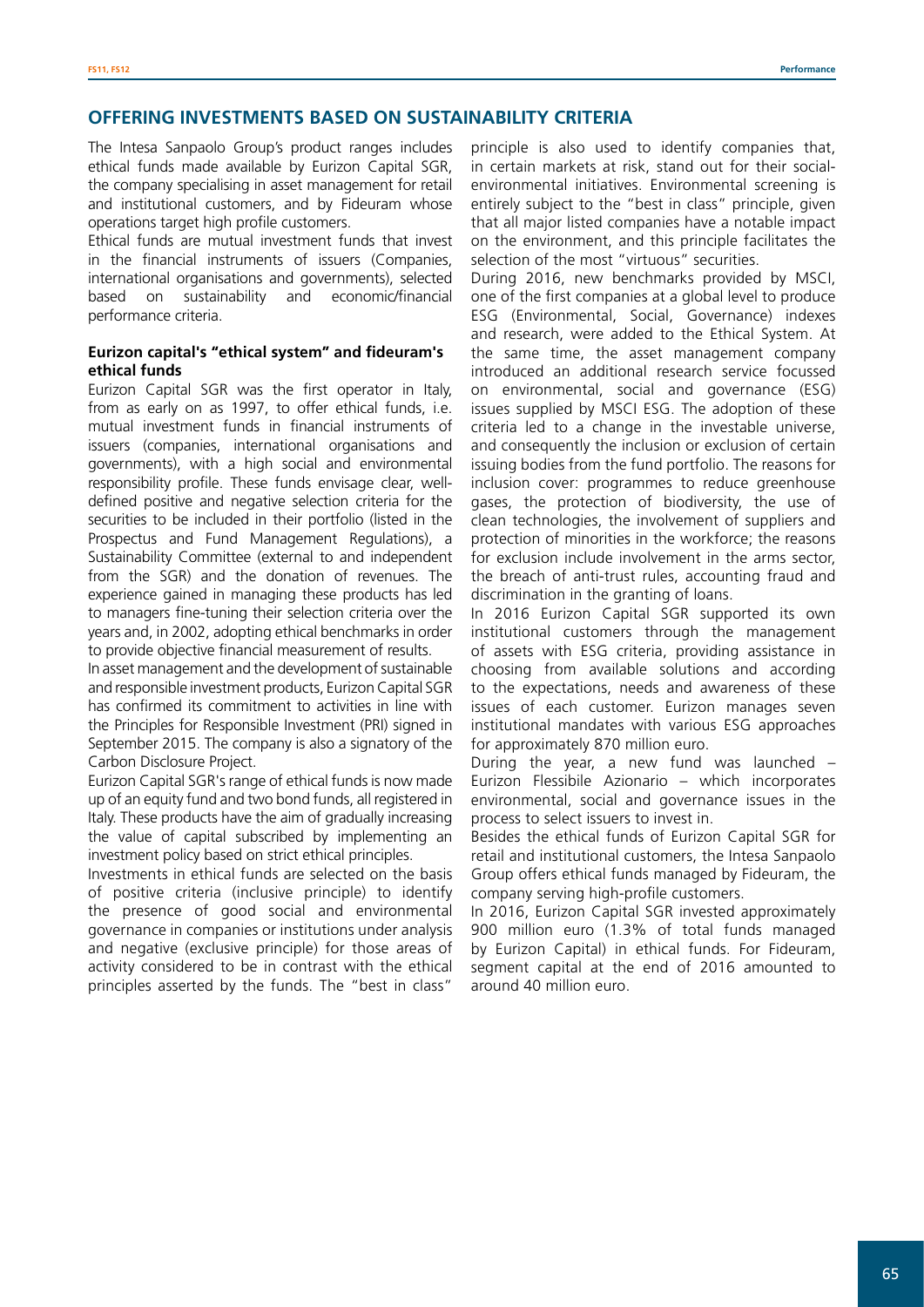# **OFFERING INVESTMENTS BASED ON SUSTAINABILITY CRITERIA**

The Intesa Sanpaolo Group's product ranges includes ethical funds made available by Eurizon Capital SGR, the company specialising in asset management for retail and institutional customers, and by Fideuram whose operations target high profile customers.

Ethical funds are mutual investment funds that invest in the financial instruments of issuers (Companies, international organisations and governments), selected based on sustainability and economic/financial performance criteria.

# **Eurizon capital's "ethical system" and fideuram's ethical funds**

Eurizon Capital SGR was the first operator in Italy, from as early on as 1997, to offer ethical funds, i.e. mutual investment funds in financial instruments of issuers (companies, international organisations and governments), with a high social and environmental responsibility profile. These funds envisage clear, welldefined positive and negative selection criteria for the securities to be included in their portfolio (listed in the Prospectus and Fund Management Regulations), a Sustainability Committee (external to and independent from the SGR) and the donation of revenues. The experience gained in managing these products has led to managers fine-tuning their selection criteria over the years and, in 2002, adopting ethical benchmarks in order to provide objective financial measurement of results.

In asset management and the development of sustainable and responsible investment products, Eurizon Capital SGR has confirmed its commitment to activities in line with the Principles for Responsible Investment (PRI) signed in September 2015. The company is also a signatory of the Carbon Disclosure Project.

Eurizon Capital SGR's range of ethical funds is now made up of an equity fund and two bond funds, all registered in Italy. These products have the aim of gradually increasing the value of capital subscribed by implementing an investment policy based on strict ethical principles.

Investments in ethical funds are selected on the basis of positive criteria (inclusive principle) to identify the presence of good social and environmental governance in companies or institutions under analysis and negative (exclusive principle) for those areas of activity considered to be in contrast with the ethical principles asserted by the funds. The "best in class"

principle is also used to identify companies that, in certain markets at risk, stand out for their socialenvironmental initiatives. Environmental screening is entirely subject to the "best in class" principle, given that all major listed companies have a notable impact on the environment, and this principle facilitates the selection of the most "virtuous" securities.

During 2016, new benchmarks provided by MSCI, one of the first companies at a global level to produce ESG (Environmental, Social, Governance) indexes and research, were added to the Ethical System. At the same time, the asset management company introduced an additional research service focussed on environmental, social and governance (ESG) issues supplied by MSCI ESG. The adoption of these criteria led to a change in the investable universe, and consequently the inclusion or exclusion of certain issuing bodies from the fund portfolio. The reasons for inclusion cover: programmes to reduce greenhouse gases, the protection of biodiversity, the use of clean technologies, the involvement of suppliers and protection of minorities in the workforce; the reasons for exclusion include involvement in the arms sector, the breach of anti-trust rules, accounting fraud and discrimination in the granting of loans.

In 2016 Eurizon Capital SGR supported its own institutional customers through the management of assets with ESG criteria, providing assistance in choosing from available solutions and according to the expectations, needs and awareness of these issues of each customer. Eurizon manages seven institutional mandates with various ESG approaches for approximately 870 million euro.

During the year, a new fund was launched – Eurizon Flessibile Azionario – which incorporates environmental, social and governance issues in the process to select issuers to invest in.

Besides the ethical funds of Eurizon Capital SGR for retail and institutional customers, the Intesa Sanpaolo Group offers ethical funds managed by Fideuram, the company serving high-profile customers.

In 2016, Eurizon Capital SGR invested approximately 900 million euro (1.3% of total funds managed by Eurizon Capital) in ethical funds. For Fideuram, segment capital at the end of 2016 amounted to around 40 million euro.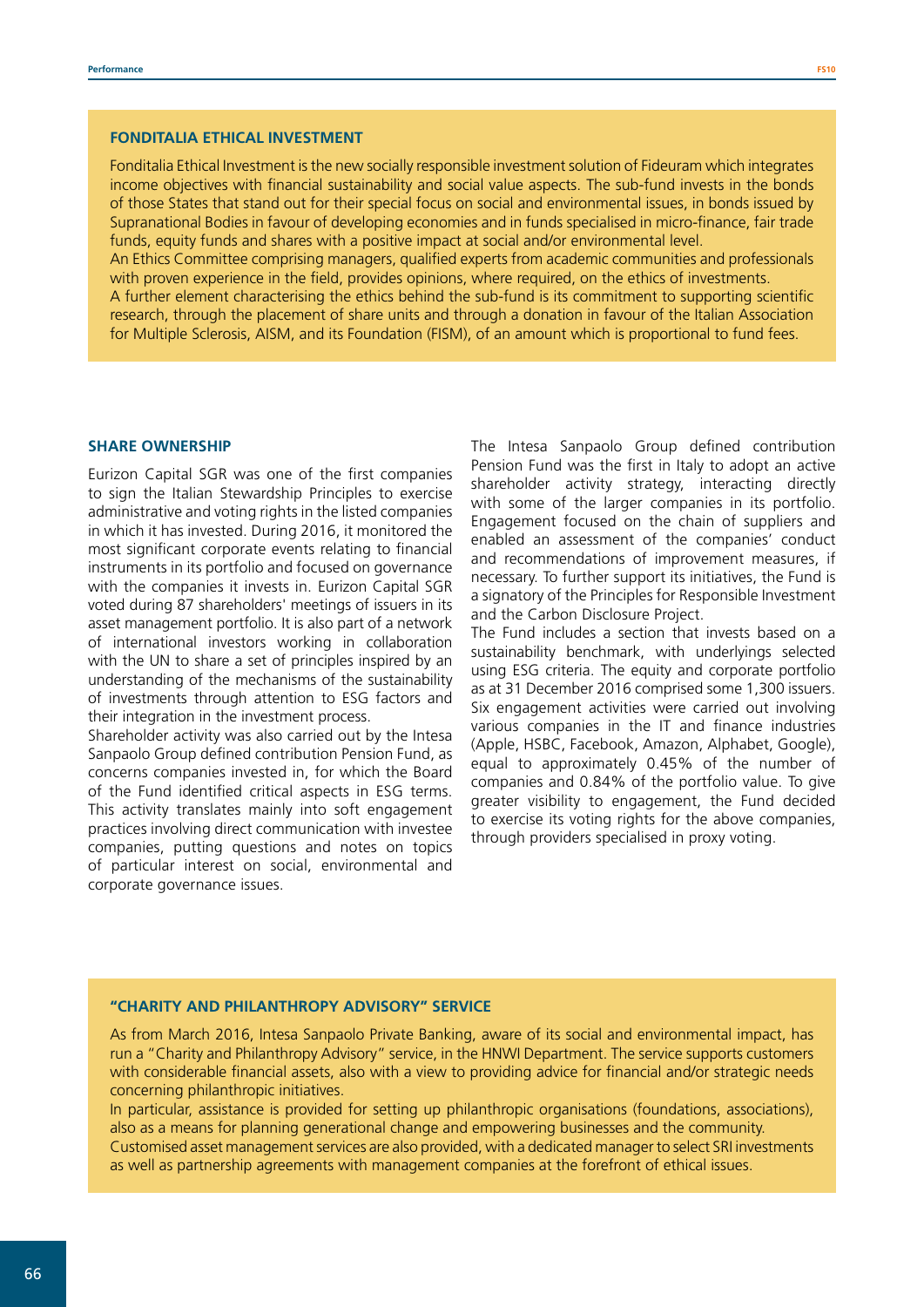Fonditalia Ethical Investment is the new socially responsible investment solution of Fideuram which integrates income objectives with financial sustainability and social value aspects. The sub-fund invests in the bonds of those States that stand out for their special focus on social and environmental issues, in bonds issued by Supranational Bodies in favour of developing economies and in funds specialised in micro-finance, fair trade funds, equity funds and shares with a positive impact at social and/or environmental level.

An Ethics Committee comprising managers, qualified experts from academic communities and professionals with proven experience in the field, provides opinions, where required, on the ethics of investments. A further element characterising the ethics behind the sub-fund is its commitment to supporting scientific research, through the placement of share units and through a donation in favour of the Italian Association for Multiple Sclerosis, AISM, and its Foundation (FISM), of an amount which is proportional to fund fees.

#### **SHARE OWNERSHIP**

Eurizon Capital SGR was one of the first companies to sign the Italian Stewardship Principles to exercise administrative and voting rights in the listed companies in which it has invested. During 2016, it monitored the most significant corporate events relating to financial instruments in its portfolio and focused on governance with the companies it invests in. Eurizon Capital SGR voted during 87 shareholders' meetings of issuers in its asset management portfolio. It is also part of a network of international investors working in collaboration with the UN to share a set of principles inspired by an understanding of the mechanisms of the sustainability of investments through attention to ESG factors and their integration in the investment process.

Shareholder activity was also carried out by the Intesa Sanpaolo Group defined contribution Pension Fund, as concerns companies invested in, for which the Board of the Fund identified critical aspects in ESG terms. This activity translates mainly into soft engagement practices involving direct communication with investee companies, putting questions and notes on topics of particular interest on social, environmental and corporate governance issues.

The Intesa Sanpaolo Group defined contribution Pension Fund was the first in Italy to adopt an active shareholder activity strategy, interacting directly with some of the larger companies in its portfolio. Engagement focused on the chain of suppliers and enabled an assessment of the companies' conduct and recommendations of improvement measures, if necessary. To further support its initiatives, the Fund is a signatory of the Principles for Responsible Investment and the Carbon Disclosure Project.

The Fund includes a section that invests based on a sustainability benchmark, with underlyings selected using ESG criteria. The equity and corporate portfolio as at 31 December 2016 comprised some 1,300 issuers. Six engagement activities were carried out involving various companies in the IT and finance industries (Apple, HSBC, Facebook, Amazon, Alphabet, Google), equal to approximately 0.45% of the number of companies and 0.84% of the portfolio value. To give greater visibility to engagement, the Fund decided to exercise its voting rights for the above companies, through providers specialised in proxy voting.

#### **"CHARITY AND PHILANTHROPY ADVISORY" SERVICE**

As from March 2016, Intesa Sanpaolo Private Banking, aware of its social and environmental impact, has run a "Charity and Philanthropy Advisory" service, in the HNWI Department. The service supports customers with considerable financial assets, also with a view to providing advice for financial and/or strategic needs concerning philanthropic initiatives.

In particular, assistance is provided for setting up philanthropic organisations (foundations, associations), also as a means for planning generational change and empowering businesses and the community. Customised asset management services are also provided, with a dedicated manager to select SRI investments as well as partnership agreements with management companies at the forefront of ethical issues.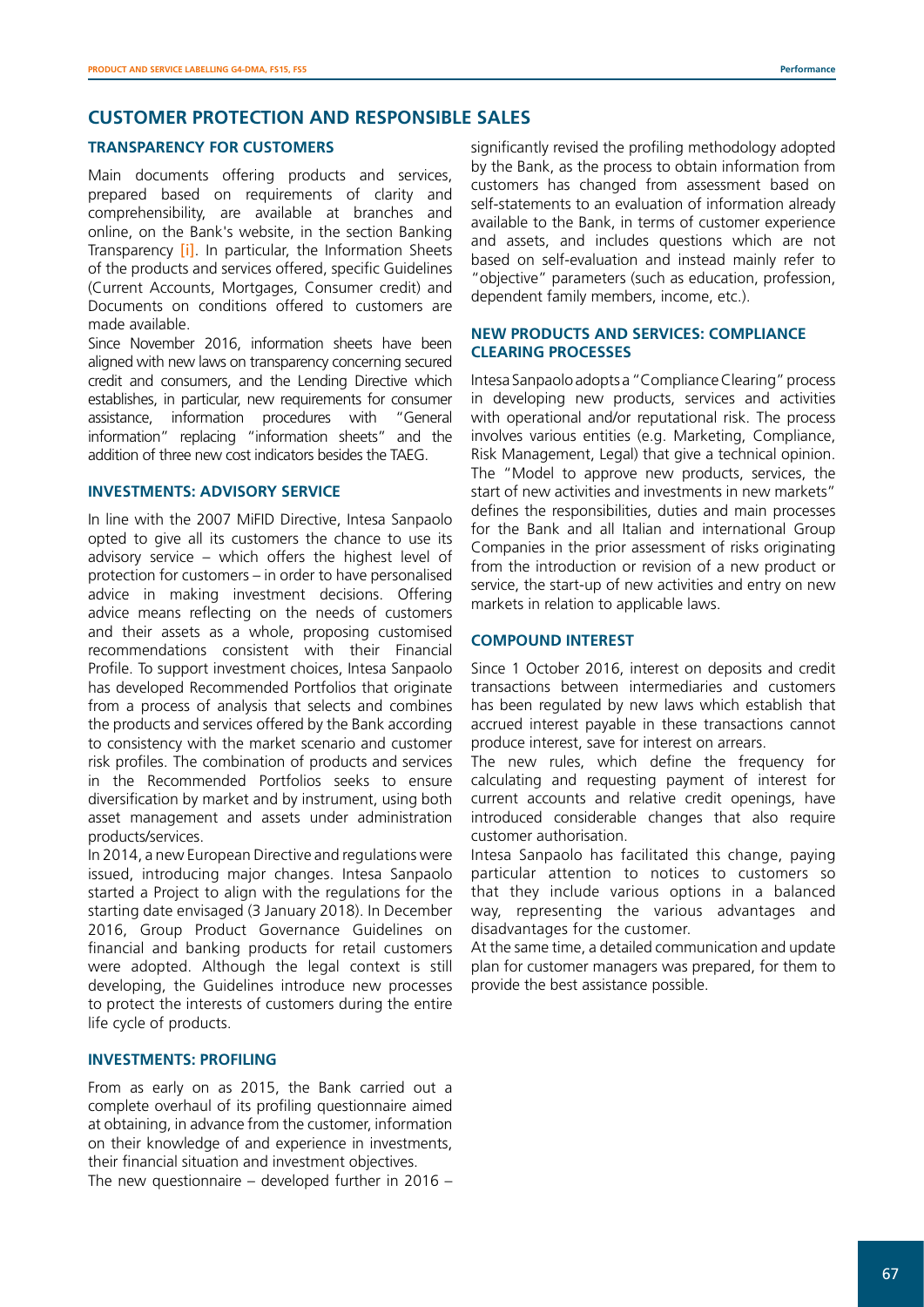# **CUSTOMER PROTECTION AND RESPONSIBLE SALES**

#### **TRANSPARENCY FOR CUSTOMERS**

Main documents offering products and services, prepared based on requirements of clarity and comprehensibility, are available at branches and online, on the Bank's website, in the section Banking Transparency [\[i\]](https://www.intesasanpaolo.com/it/common/footer/trasparenza.html). In particular, the Information Sheets of the products and services offered, specific Guidelines (Current Accounts, Mortgages, Consumer credit) and Documents on conditions offered to customers are made available.

Since November 2016, information sheets have been aligned with new laws on transparency concerning secured credit and consumers, and the Lending Directive which establishes, in particular, new requirements for consumer assistance, information procedures with "General information" replacing "information sheets" and the addition of three new cost indicators besides the TAEG.

## **INVESTMENTS: ADVISORY SERVICE**

In line with the 2007 MiFID Directive, Intesa Sanpaolo opted to give all its customers the chance to use its advisory service – which offers the highest level of protection for customers – in order to have personalised advice in making investment decisions. Offering advice means reflecting on the needs of customers and their assets as a whole, proposing customised recommendations consistent with their Financial Profile. To support investment choices, Intesa Sanpaolo has developed Recommended Portfolios that originate from a process of analysis that selects and combines the products and services offered by the Bank according to consistency with the market scenario and customer risk profiles. The combination of products and services in the Recommended Portfolios seeks to ensure diversification by market and by instrument, using both asset management and assets under administration products/services.

In 2014, a new European Directive and regulations were issued, introducing major changes. Intesa Sanpaolo started a Project to align with the regulations for the starting date envisaged (3 January 2018). In December 2016, Group Product Governance Guidelines on financial and banking products for retail customers were adopted. Although the legal context is still developing, the Guidelines introduce new processes to protect the interests of customers during the entire life cycle of products.

#### **INVESTMENTS: PROFILING**

From as early on as 2015, the Bank carried out a complete overhaul of its profiling questionnaire aimed at obtaining, in advance from the customer, information on their knowledge of and experience in investments, their financial situation and investment objectives.

The new questionnaire – developed further in 2016 –

significantly revised the profiling methodology adopted by the Bank, as the process to obtain information from customers has changed from assessment based on self-statements to an evaluation of information already available to the Bank, in terms of customer experience and assets, and includes questions which are not based on self-evaluation and instead mainly refer to "objective" parameters (such as education, profession, dependent family members, income, etc.).

# **NEW PRODUCTS AND SERVICES: COMPLIANCE CLEARING PROCESSES**

Intesa Sanpaolo adopts a "Compliance Clearing" process in developing new products, services and activities with operational and/or reputational risk. The process involves various entities (e.g. Marketing, Compliance, Risk Management, Legal) that give a technical opinion. The "Model to approve new products, services, the start of new activities and investments in new markets" defines the responsibilities, duties and main processes for the Bank and all Italian and international Group Companies in the prior assessment of risks originating from the introduction or revision of a new product or service, the start-up of new activities and entry on new markets in relation to applicable laws.

# **COMPOUND INTEREST**

Since 1 October 2016, interest on deposits and credit transactions between intermediaries and customers has been regulated by new laws which establish that accrued interest payable in these transactions cannot produce interest, save for interest on arrears.

The new rules, which define the frequency for calculating and requesting payment of interest for current accounts and relative credit openings, have introduced considerable changes that also require customer authorisation.

Intesa Sanpaolo has facilitated this change, paying particular attention to notices to customers so that they include various options in a balanced way, representing the various advantages and disadvantages for the customer.

At the same time, a detailed communication and update plan for customer managers was prepared, for them to provide the best assistance possible.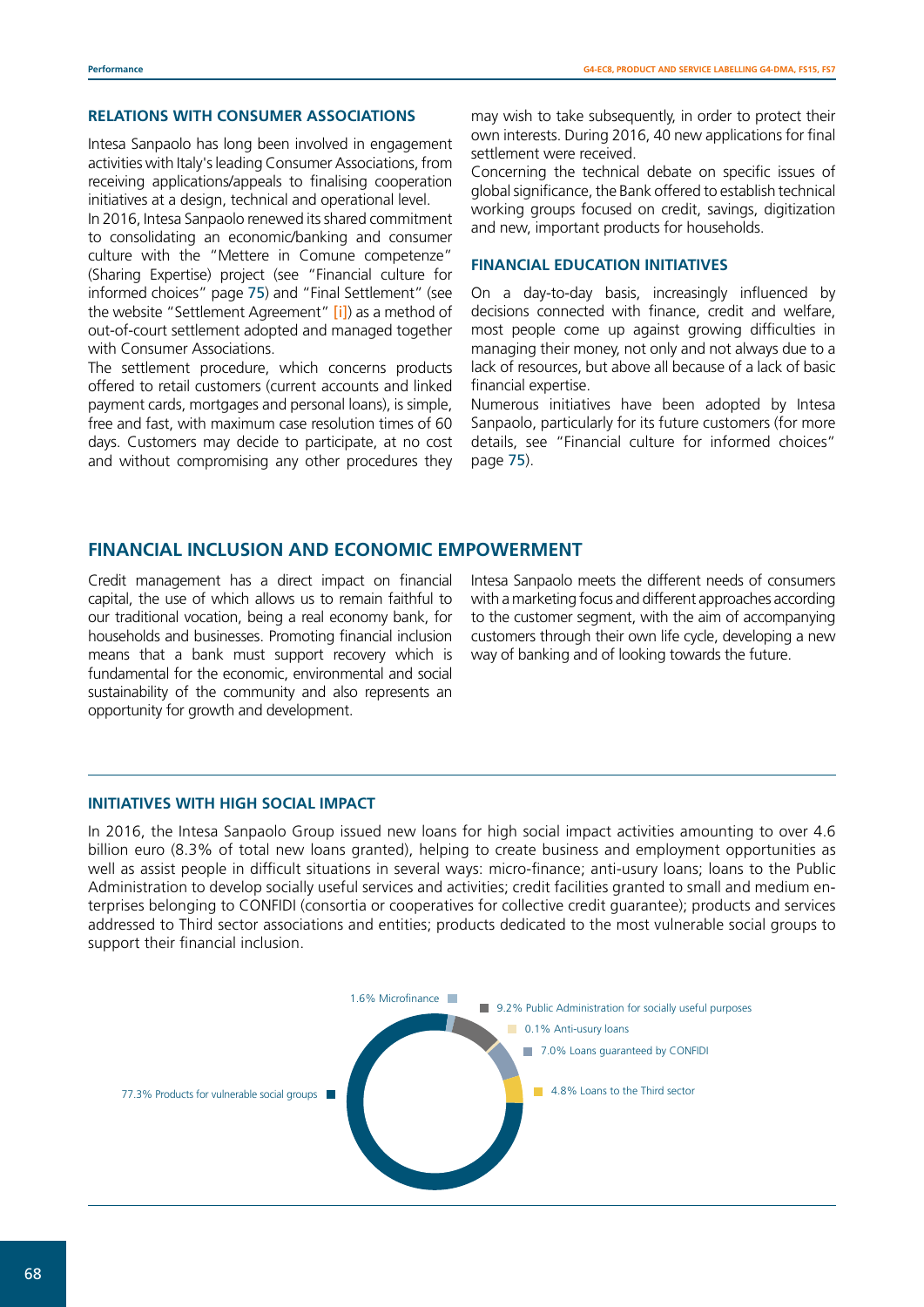# **RELATIONS WITH CONSUMER ASSOCIATIONS**

Intesa Sanpaolo has long been involved in engagement activities with Italy's leading Consumer Associations, from receiving applications/appeals to finalising cooperation initiatives at a design, technical and operational level.

In 2016, Intesa Sanpaolo renewed its shared commitment to consolidating an economic/banking and consumer culture with the "Mettere in Comune competenze" (Sharing Expertise) project (see "Financial culture for informed choices" page 75) and "Final Settlement" (see the website "Settlement Agreement" [\[i\]](https://www.intesasanpaolo.com/it/persone-e-famiglie/reclami/accordo-di-conciliazione.html)) as a method of out-of-court settlement adopted and managed together with Consumer Associations.

The settlement procedure, which concerns products offered to retail customers (current accounts and linked payment cards, mortgages and personal loans), is simple, free and fast, with maximum case resolution times of 60 days. Customers may decide to participate, at no cost and without compromising any other procedures they may wish to take subsequently, in order to protect their own interests. During 2016, 40 new applications for final settlement were received.

Concerning the technical debate on specific issues of global significance, the Bank offered to establish technical working groups focused on credit, savings, digitization and new, important products for households.

#### **FINANCIAL EDUCATION INITIATIVES**

On a day-to-day basis, increasingly influenced by decisions connected with finance, credit and welfare, most people come up against growing difficulties in managing their money, not only and not always due to a lack of resources, but above all because of a lack of basic financial expertise.

Numerous initiatives have been adopted by Intesa Sanpaolo, particularly for its future customers (for more details, see "Financial culture for informed choices" page 75).

# **FINANCIAL INCLUSION AND ECONOMIC EMPOWERMENT**

Credit management has a direct impact on financial capital, the use of which allows us to remain faithful to our traditional vocation, being a real economy bank, for households and businesses. Promoting financial inclusion means that a bank must support recovery which is fundamental for the economic, environmental and social sustainability of the community and also represents an opportunity for growth and development.

Intesa Sanpaolo meets the different needs of consumers with a marketing focus and different approaches according to the customer segment, with the aim of accompanying customers through their own life cycle, developing a new way of banking and of looking towards the future.

#### **INITIATIVES WITH HIGH SOCIAL IMPACT**

In 2016, the Intesa Sanpaolo Group issued new loans for high social impact activities amounting to over 4.6 billion euro (8.3% of total new loans granted), helping to create business and employment opportunities as well as assist people in difficult situations in several ways: micro-finance; anti-usury loans; loans to the Public Administration to develop socially useful services and activities; credit facilities granted to small and medium enterprises belonging to CONFIDI (consortia or cooperatives for collective credit guarantee); products and services addressed to Third sector associations and entities; products dedicated to the most vulnerable social groups to support their financial inclusion.

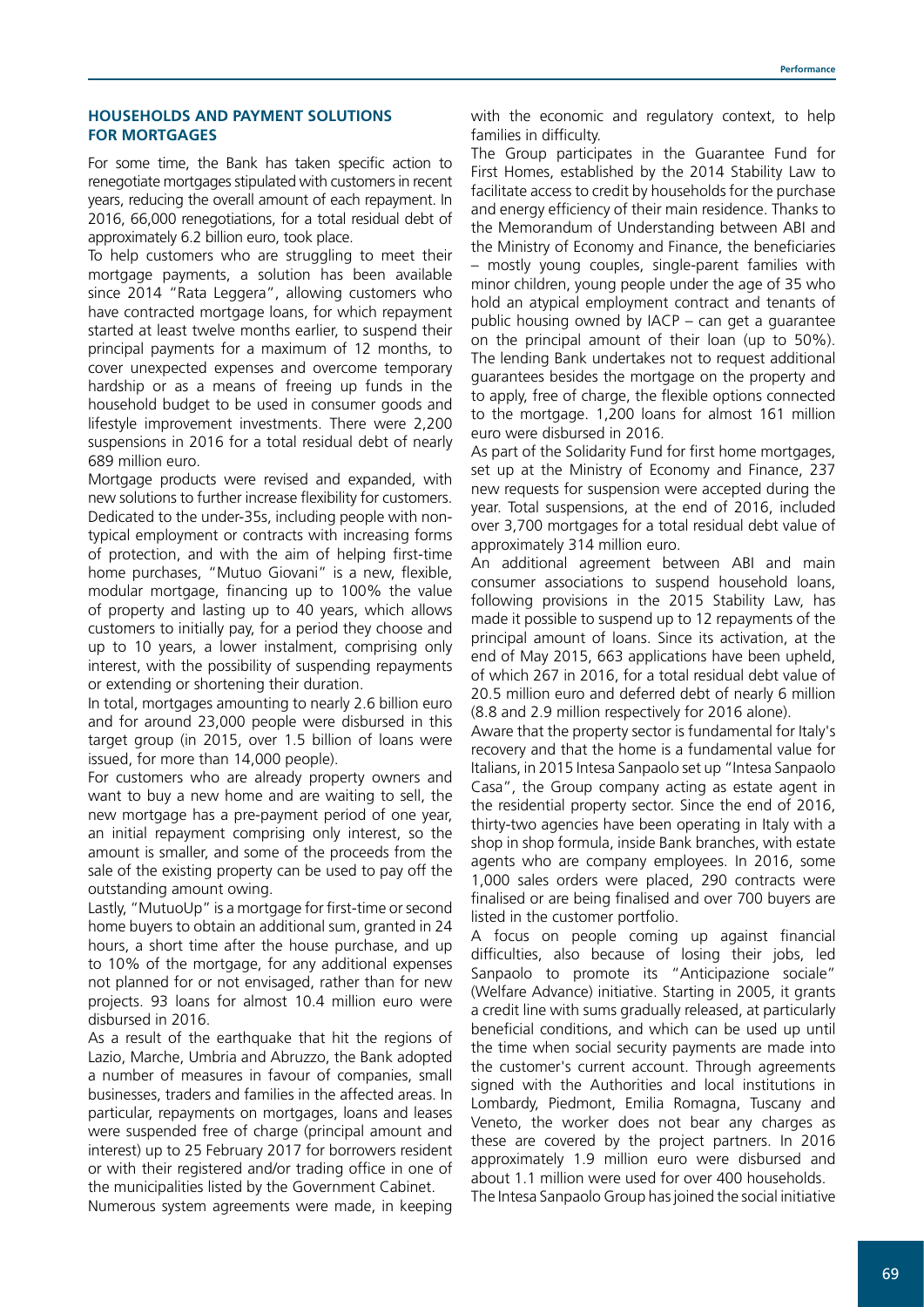#### **HOUSEHOLDS AND PAYMENT SOLUTIONS FOR MORTGAGES**

For some time, the Bank has taken specific action to renegotiate mortgages stipulated with customers in recent years, reducing the overall amount of each repayment. In 2016, 66,000 renegotiations, for a total residual debt of approximately 6.2 billion euro, took place.

To help customers who are struggling to meet their mortgage payments, a solution has been available since 2014 "Rata Leggera", allowing customers who have contracted mortgage loans, for which repayment started at least twelve months earlier, to suspend their principal payments for a maximum of 12 months, to cover unexpected expenses and overcome temporary hardship or as a means of freeing up funds in the household budget to be used in consumer goods and lifestyle improvement investments. There were 2,200 suspensions in 2016 for a total residual debt of nearly 689 million euro.

Mortgage products were revised and expanded, with new solutions to further increase flexibility for customers. Dedicated to the under-35s, including people with nontypical employment or contracts with increasing forms of protection, and with the aim of helping first-time home purchases, "Mutuo Giovani" is a new, flexible, modular mortgage, financing up to 100% the value of property and lasting up to 40 years, which allows customers to initially pay, for a period they choose and up to 10 years, a lower instalment, comprising only interest, with the possibility of suspending repayments or extending or shortening their duration.

In total, mortgages amounting to nearly 2.6 billion euro and for around 23,000 people were disbursed in this target group (in 2015, over 1.5 billion of loans were issued, for more than 14,000 people).

For customers who are already property owners and want to buy a new home and are waiting to sell, the new mortgage has a pre-payment period of one year, an initial repayment comprising only interest, so the amount is smaller, and some of the proceeds from the sale of the existing property can be used to pay off the outstanding amount owing.

Lastly, "MutuoUp" is a mortgage for first-time or second home buyers to obtain an additional sum, granted in 24 hours, a short time after the house purchase, and up to 10% of the mortgage, for any additional expenses not planned for or not envisaged, rather than for new projects. 93 loans for almost 10.4 million euro were disbursed in 2016.

As a result of the earthquake that hit the regions of Lazio, Marche, Umbria and Abruzzo, the Bank adopted a number of measures in favour of companies, small businesses, traders and families in the affected areas. In particular, repayments on mortgages, loans and leases were suspended free of charge (principal amount and interest) up to 25 February 2017 for borrowers resident or with their registered and/or trading office in one of the municipalities listed by the Government Cabinet.

Numerous system agreements were made, in keeping

with the economic and regulatory context, to help families in difficulty.

The Group participates in the Guarantee Fund for First Homes, established by the 2014 Stability Law to facilitate access to credit by households for the purchase and energy efficiency of their main residence. Thanks to the Memorandum of Understanding between ABI and the Ministry of Economy and Finance, the beneficiaries – mostly young couples, single-parent families with minor children, young people under the age of 35 who hold an atypical employment contract and tenants of public housing owned by IACP – can get a guarantee on the principal amount of their loan (up to 50%). The lending Bank undertakes not to request additional guarantees besides the mortgage on the property and to apply, free of charge, the flexible options connected to the mortgage. 1,200 loans for almost 161 million euro were disbursed in 2016.

As part of the Solidarity Fund for first home mortgages, set up at the Ministry of Economy and Finance, 237 new requests for suspension were accepted during the year. Total suspensions, at the end of 2016, included over 3,700 mortgages for a total residual debt value of approximately 314 million euro.

An additional agreement between ABI and main consumer associations to suspend household loans, following provisions in the 2015 Stability Law, has made it possible to suspend up to 12 repayments of the principal amount of loans. Since its activation, at the end of May 2015, 663 applications have been upheld, of which 267 in 2016, for a total residual debt value of 20.5 million euro and deferred debt of nearly 6 million (8.8 and 2.9 million respectively for 2016 alone).

Aware that the property sector is fundamental for Italy's recovery and that the home is a fundamental value for Italians, in 2015 Intesa Sanpaolo set up "Intesa Sanpaolo Casa", the Group company acting as estate agent in the residential property sector. Since the end of 2016, thirty-two agencies have been operating in Italy with a shop in shop formula, inside Bank branches, with estate agents who are company employees. In 2016, some 1,000 sales orders were placed, 290 contracts were finalised or are being finalised and over 700 buyers are listed in the customer portfolio.

A focus on people coming up against financial difficulties, also because of losing their jobs, led Sanpaolo to promote its "Anticipazione sociale" (Welfare Advance) initiative. Starting in 2005, it grants a credit line with sums gradually released, at particularly beneficial conditions, and which can be used up until the time when social security payments are made into the customer's current account. Through agreements signed with the Authorities and local institutions in Lombardy, Piedmont, Emilia Romagna, Tuscany and Veneto, the worker does not bear any charges as these are covered by the project partners. In 2016 approximately 1.9 million euro were disbursed and about 1.1 million were used for over 400 households.

The Intesa Sanpaolo Group has joined the social initiative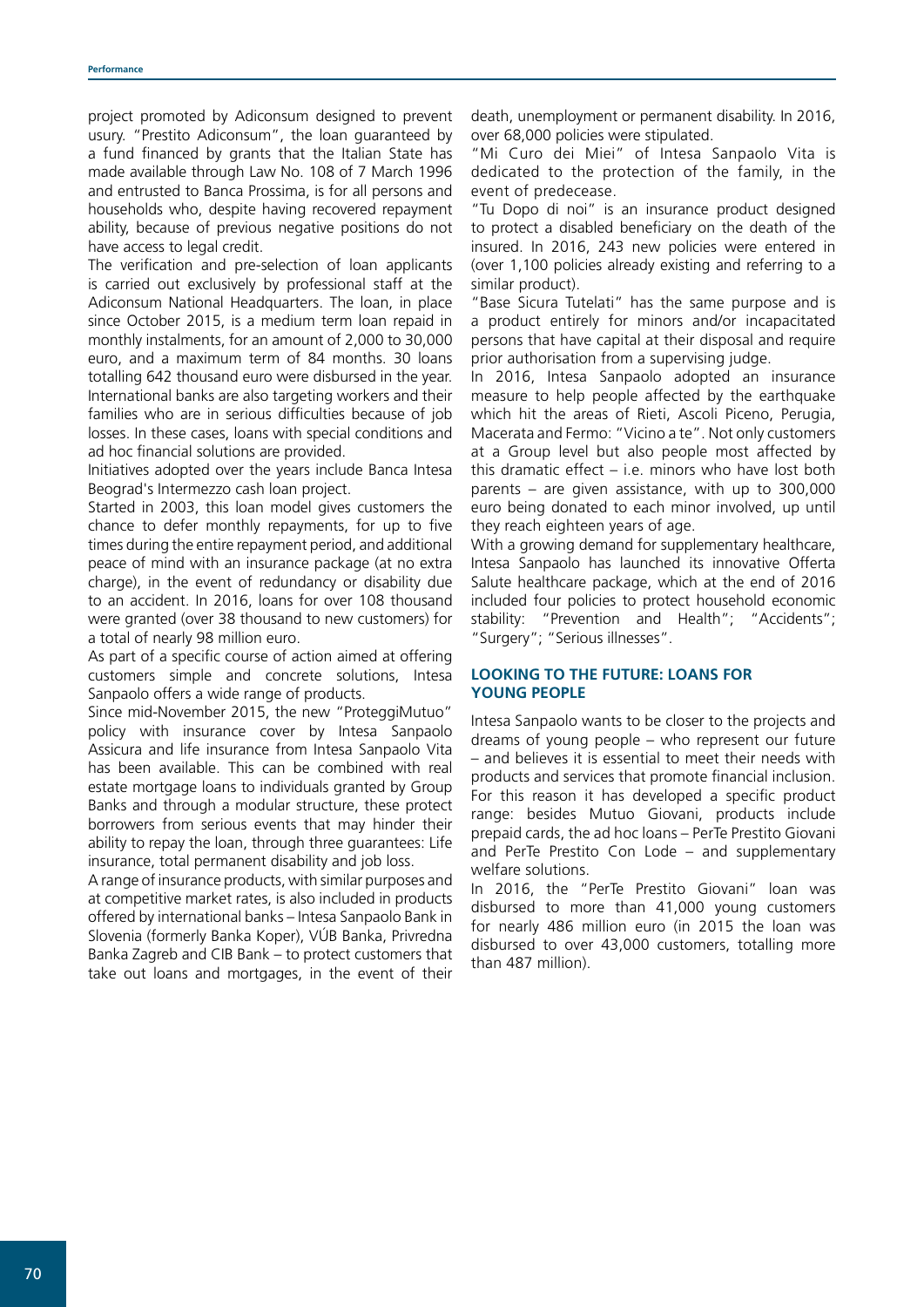project promoted by Adiconsum designed to prevent usury. "Prestito Adiconsum", the loan guaranteed by a fund financed by grants that the Italian State has made available through Law No. 108 of 7 March 1996 and entrusted to Banca Prossima, is for all persons and households who, despite having recovered repayment ability, because of previous negative positions do not have access to legal credit.

The verification and pre-selection of loan applicants is carried out exclusively by professional staff at the Adiconsum National Headquarters. The loan, in place since October 2015, is a medium term loan repaid in monthly instalments, for an amount of 2,000 to 30,000 euro, and a maximum term of 84 months. 30 loans totalling 642 thousand euro were disbursed in the year. International banks are also targeting workers and their families who are in serious difficulties because of job losses. In these cases, loans with special conditions and ad hoc financial solutions are provided.

Initiatives adopted over the years include Banca Intesa Beograd's Intermezzo cash loan project.

Started in 2003, this loan model gives customers the chance to defer monthly repayments, for up to five times during the entire repayment period, and additional peace of mind with an insurance package (at no extra charge), in the event of redundancy or disability due to an accident. In 2016, loans for over 108 thousand were granted (over 38 thousand to new customers) for a total of nearly 98 million euro.

As part of a specific course of action aimed at offering customers simple and concrete solutions, Intesa Sanpaolo offers a wide range of products.

Since mid-November 2015, the new "ProteggiMutuo" policy with insurance cover by Intesa Sanpaolo Assicura and life insurance from Intesa Sanpaolo Vita has been available. This can be combined with real estate mortgage loans to individuals granted by Group Banks and through a modular structure, these protect borrowers from serious events that may hinder their ability to repay the loan, through three guarantees: Life insurance, total permanent disability and job loss.

A range of insurance products, with similar purposes and at competitive market rates, is also included in products offered by international banks – Intesa Sanpaolo Bank in Slovenia (formerly Banka Koper), VÚB Banka, Privredna Banka Zagreb and CIB Bank – to protect customers that take out loans and mortgages, in the event of their death, unemployment or permanent disability. In 2016, over 68,000 policies were stipulated.

"Mi Curo dei Miei" of Intesa Sanpaolo Vita is dedicated to the protection of the family, in the event of predecease.

"Tu Dopo di noi" is an insurance product designed to protect a disabled beneficiary on the death of the insured. In 2016, 243 new policies were entered in (over 1,100 policies already existing and referring to a similar product).

"Base Sicura Tutelati" has the same purpose and is a product entirely for minors and/or incapacitated persons that have capital at their disposal and require prior authorisation from a supervising judge.

In 2016, Intesa Sanpaolo adopted an insurance measure to help people affected by the earthquake which hit the areas of Rieti, Ascoli Piceno, Perugia, Macerata and Fermo: "Vicino a te". Not only customers at a Group level but also people most affected by this dramatic effect – i.e. minors who have lost both parents – are given assistance, with up to 300,000 euro being donated to each minor involved, up until they reach eighteen years of age.

With a growing demand for supplementary healthcare, Intesa Sanpaolo has launched its innovative Offerta Salute healthcare package, which at the end of 2016 included four policies to protect household economic stability: "Prevention and Health"; "Accidents"; "Surgery"; "Serious illnesses".

# **LOOKING TO THE FUTURE: LOANS FOR YOUNG PEOPLE**

Intesa Sanpaolo wants to be closer to the projects and dreams of young people – who represent our future – and believes it is essential to meet their needs with products and services that promote financial inclusion. For this reason it has developed a specific product range: besides Mutuo Giovani, products include prepaid cards, the ad hoc loans – PerTe Prestito Giovani and PerTe Prestito Con Lode – and supplementary welfare solutions.

In 2016, the "PerTe Prestito Giovani" loan was disbursed to more than 41,000 young customers for nearly 486 million euro (in 2015 the loan was disbursed to over 43,000 customers, totalling more than 487 million).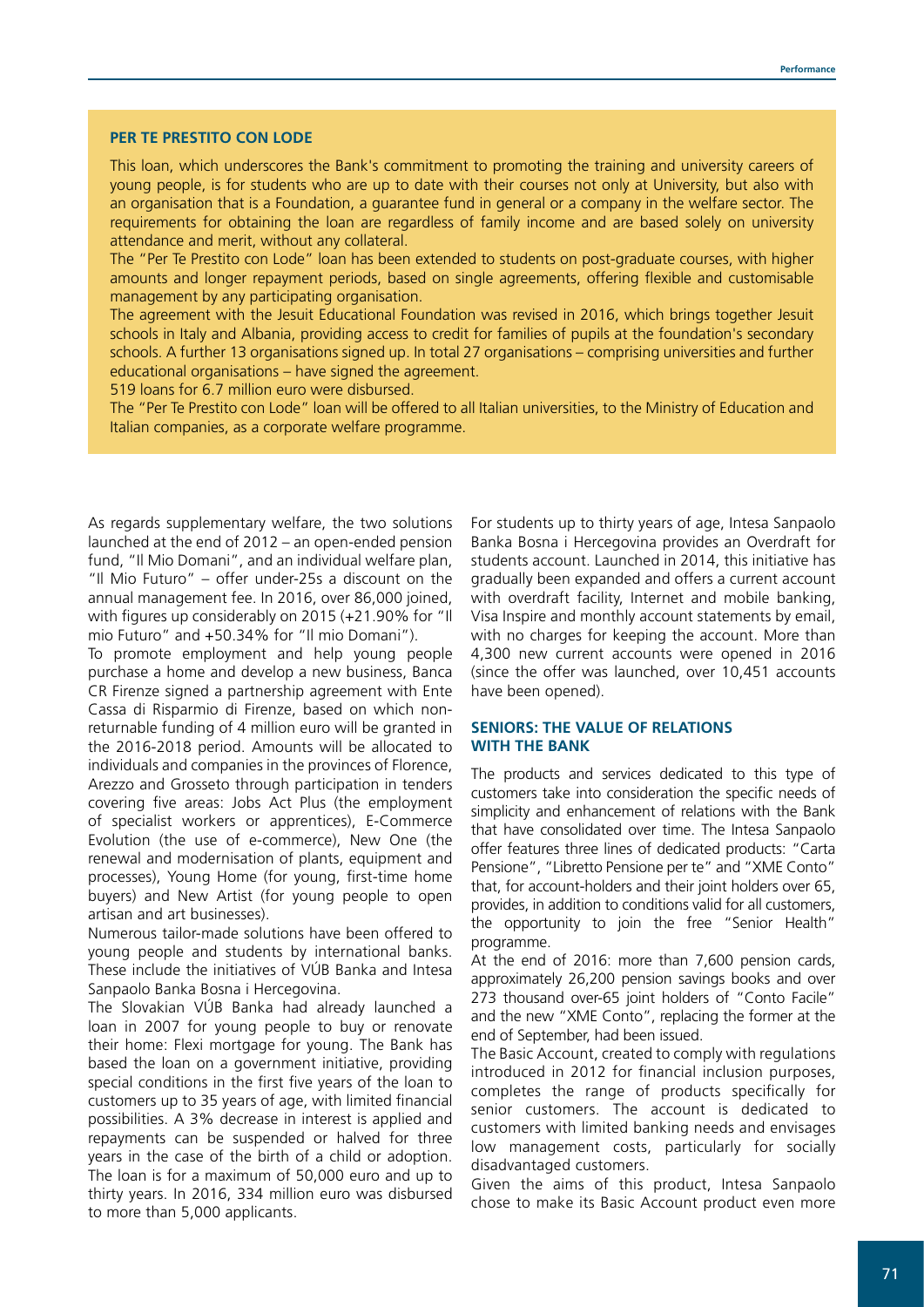#### **PER TE PRESTITO CON LODE**

This loan, which underscores the Bank's commitment to promoting the training and university careers of young people, is for students who are up to date with their courses not only at University, but also with an organisation that is a Foundation, a guarantee fund in general or a company in the welfare sector. The requirements for obtaining the loan are regardless of family income and are based solely on university attendance and merit, without any collateral.

The "Per Te Prestito con Lode" loan has been extended to students on post-graduate courses, with higher amounts and longer repayment periods, based on single agreements, offering flexible and customisable management by any participating organisation.

The agreement with the Jesuit Educational Foundation was revised in 2016, which brings together Jesuit schools in Italy and Albania, providing access to credit for families of pupils at the foundation's secondary schools. A further 13 organisations signed up. In total 27 organisations – comprising universities and further educational organisations – have signed the agreement.

519 loans for 6.7 million euro were disbursed.

The "Per Te Prestito con Lode" loan will be offered to all Italian universities, to the Ministry of Education and Italian companies, as a corporate welfare programme.

As regards supplementary welfare, the two solutions launched at the end of 2012 – an open-ended pension fund, "Il Mio Domani", and an individual welfare plan, "Il Mio Futuro" – offer under-25s a discount on the annual management fee. In 2016, over 86,000 joined, with figures up considerably on 2015 (+21.90% for "Il mio Futuro" and +50.34% for "Il mio Domani").

To promote employment and help young people purchase a home and develop a new business, Banca CR Firenze signed a partnership agreement with Ente Cassa di Risparmio di Firenze, based on which nonreturnable funding of 4 million euro will be granted in the 2016-2018 period. Amounts will be allocated to individuals and companies in the provinces of Florence, Arezzo and Grosseto through participation in tenders covering five areas: Jobs Act Plus (the employment of specialist workers or apprentices), E-Commerce Evolution (the use of e-commerce), New One (the renewal and modernisation of plants, equipment and processes), Young Home (for young, first-time home buyers) and New Artist (for young people to open artisan and art businesses).

Numerous tailor-made solutions have been offered to young people and students by international banks. These include the initiatives of VÚB Banka and Intesa Sanpaolo Banka Bosna i Hercegovina.

The Slovakian VÚB Banka had already launched a loan in 2007 for young people to buy or renovate their home: Flexi mortgage for young. The Bank has based the loan on a government initiative, providing special conditions in the first five years of the loan to customers up to 35 years of age, with limited financial possibilities. A 3% decrease in interest is applied and repayments can be suspended or halved for three years in the case of the birth of a child or adoption. The loan is for a maximum of 50,000 euro and up to thirty years. In 2016, 334 million euro was disbursed to more than 5,000 applicants.

For students up to thirty years of age, Intesa Sanpaolo Banka Bosna i Hercegovina provides an Overdraft for students account. Launched in 2014, this initiative has gradually been expanded and offers a current account with overdraft facility, Internet and mobile banking, Visa Inspire and monthly account statements by email, with no charges for keeping the account. More than 4,300 new current accounts were opened in 2016 (since the offer was launched, over 10,451 accounts have been opened).

# **SENIORS: THE VALUE OF RELATIONS WITH THE BANK**

The products and services dedicated to this type of customers take into consideration the specific needs of simplicity and enhancement of relations with the Bank that have consolidated over time. The Intesa Sanpaolo offer features three lines of dedicated products: "Carta Pensione", "Libretto Pensione per te" and "XME Conto" that, for account-holders and their joint holders over 65, provides, in addition to conditions valid for all customers, the opportunity to join the free "Senior Health" programme.

At the end of 2016: more than 7,600 pension cards, approximately 26,200 pension savings books and over 273 thousand over-65 joint holders of "Conto Facile" and the new "XME Conto", replacing the former at the end of September, had been issued.

The Basic Account, created to comply with regulations introduced in 2012 for financial inclusion purposes, completes the range of products specifically for senior customers. The account is dedicated to customers with limited banking needs and envisages low management costs, particularly for socially disadvantaged customers.

Given the aims of this product, Intesa Sanpaolo chose to make its Basic Account product even more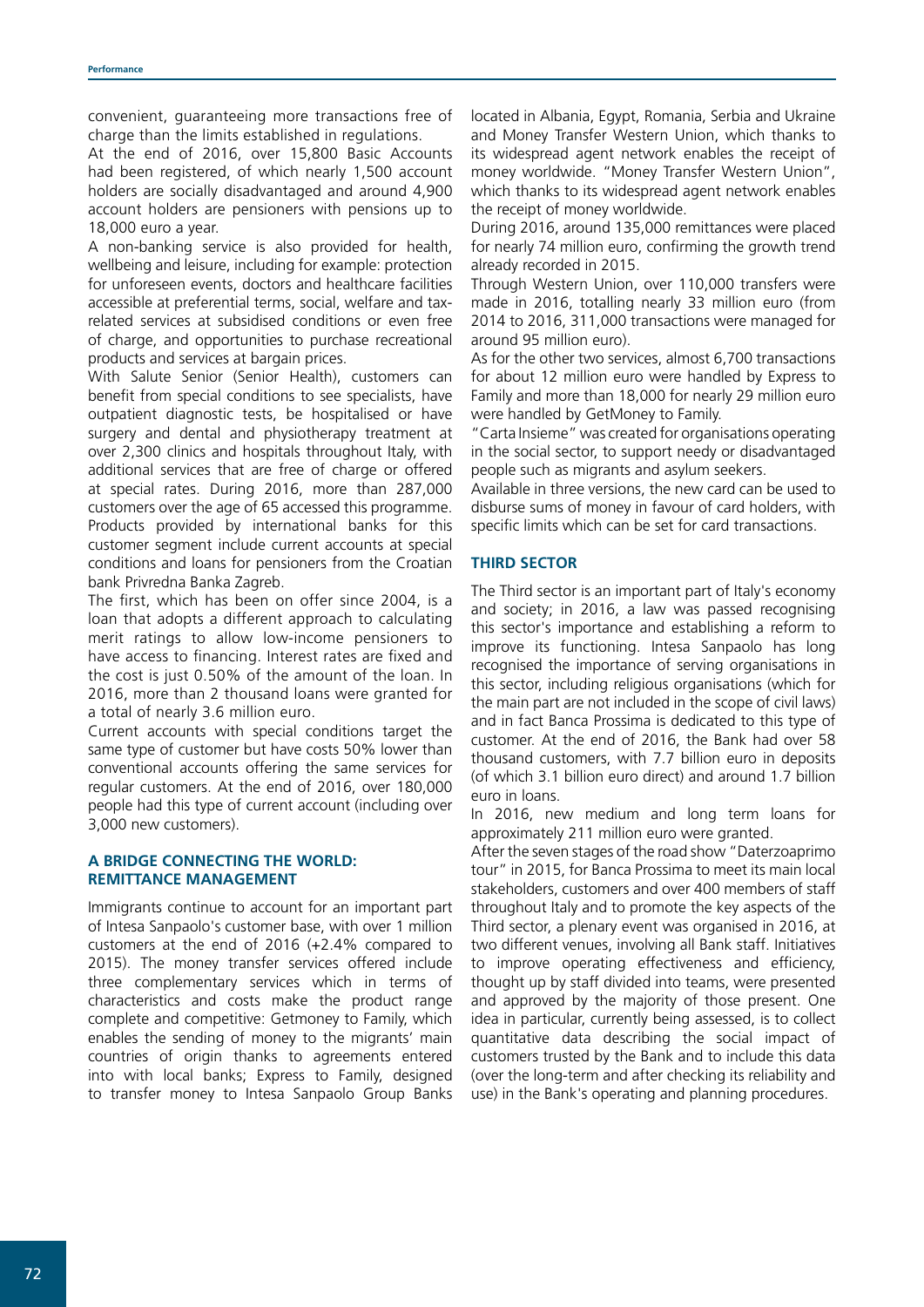convenient, guaranteeing more transactions free of charge than the limits established in regulations.

At the end of 2016, over 15,800 Basic Accounts had been registered, of which nearly 1,500 account holders are socially disadvantaged and around 4,900 account holders are pensioners with pensions up to 18,000 euro a year.

A non-banking service is also provided for health, wellbeing and leisure, including for example: protection for unforeseen events, doctors and healthcare facilities accessible at preferential terms, social, welfare and taxrelated services at subsidised conditions or even free of charge, and opportunities to purchase recreational products and services at bargain prices.

With Salute Senior (Senior Health), customers can benefit from special conditions to see specialists, have outpatient diagnostic tests, be hospitalised or have surgery and dental and physiotherapy treatment at over 2,300 clinics and hospitals throughout Italy, with additional services that are free of charge or offered at special rates. During 2016, more than 287,000 customers over the age of 65 accessed this programme. Products provided by international banks for this customer segment include current accounts at special conditions and loans for pensioners from the Croatian bank Privredna Banka Zagreb.

The first, which has been on offer since 2004, is a loan that adopts a different approach to calculating merit ratings to allow low-income pensioners to have access to financing. Interest rates are fixed and the cost is just 0.50% of the amount of the loan. In 2016, more than 2 thousand loans were granted for a total of nearly 3.6 million euro.

Current accounts with special conditions target the same type of customer but have costs 50% lower than conventional accounts offering the same services for regular customers. At the end of 2016, over 180,000 people had this type of current account (including over 3,000 new customers).

# **A BRIDGE CONNECTING THE WORLD: REMITTANCE MANAGEMENT**

Immigrants continue to account for an important part of Intesa Sanpaolo's customer base, with over 1 million customers at the end of 2016 (+2.4% compared to 2015). The money transfer services offered include three complementary services which in terms of characteristics and costs make the product range complete and competitive: Getmoney to Family, which enables the sending of money to the migrants' main countries of origin thanks to agreements entered into with local banks; Express to Family, designed to transfer money to Intesa Sanpaolo Group Banks

located in Albania, Egypt, Romania, Serbia and Ukraine and Money Transfer Western Union, which thanks to its widespread agent network enables the receipt of money worldwide. "Money Transfer Western Union", which thanks to its widespread agent network enables the receipt of money worldwide.

During 2016, around 135,000 remittances were placed for nearly 74 million euro, confirming the growth trend already recorded in 2015.

Through Western Union, over 110,000 transfers were made in 2016, totalling nearly 33 million euro (from 2014 to 2016, 311,000 transactions were managed for around 95 million euro).

As for the other two services, almost 6,700 transactions for about 12 million euro were handled by Express to Family and more than 18,000 for nearly 29 million euro were handled by GetMoney to Family.

"Carta Insieme" was created for organisations operating in the social sector, to support needy or disadvantaged people such as migrants and asylum seekers.

Available in three versions, the new card can be used to disburse sums of money in favour of card holders, with specific limits which can be set for card transactions.

# **THIRD SECTOR**

The Third sector is an important part of Italy's economy and society; in 2016, a law was passed recognising this sector's importance and establishing a reform to improve its functioning. Intesa Sanpaolo has long recognised the importance of serving organisations in this sector, including religious organisations (which for the main part are not included in the scope of civil laws) and in fact Banca Prossima is dedicated to this type of customer. At the end of 2016, the Bank had over 58 thousand customers, with 7.7 billion euro in deposits (of which 3.1 billion euro direct) and around 1.7 billion euro in loans.

In 2016, new medium and long term loans for approximately 211 million euro were granted.

After the seven stages of the road show "Daterzoaprimo tour" in 2015, for Banca Prossima to meet its main local stakeholders, customers and over 400 members of staff throughout Italy and to promote the key aspects of the Third sector, a plenary event was organised in 2016, at two different venues, involving all Bank staff. Initiatives to improve operating effectiveness and efficiency, thought up by staff divided into teams, were presented and approved by the majority of those present. One idea in particular, currently being assessed, is to collect quantitative data describing the social impact of customers trusted by the Bank and to include this data (over the long-term and after checking its reliability and use) in the Bank's operating and planning procedures.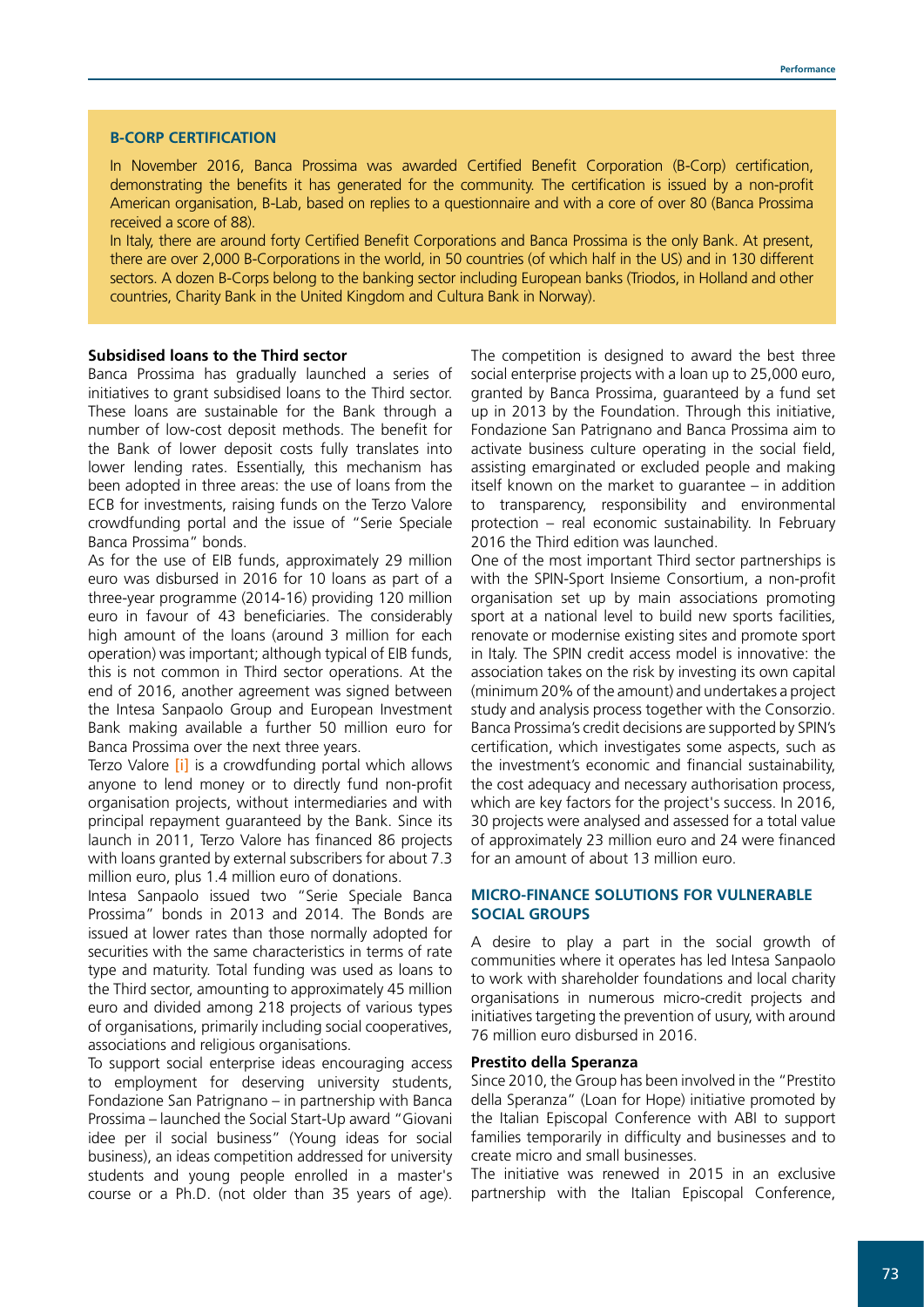#### **B-CORP CERTIFICATION**

In November 2016, Banca Prossima was awarded Certified Benefit Corporation (B-Corp) certification, demonstrating the benefits it has generated for the community. The certification is issued by a non-profit American organisation, B-Lab, based on replies to a questionnaire and with a core of over 80 (Banca Prossima received a score of 88).

In Italy, there are around forty Certified Benefit Corporations and Banca Prossima is the only Bank. At present, there are over 2,000 B-Corporations in the world, in 50 countries (of which half in the US) and in 130 different sectors. A dozen B-Corps belong to the banking sector including European banks (Triodos, in Holland and other countries, Charity Bank in the United Kingdom and Cultura Bank in Norway).

#### **Subsidised loans to the Third sector**

Banca Prossima has gradually launched a series of initiatives to grant subsidised loans to the Third sector. These loans are sustainable for the Bank through a number of low-cost deposit methods. The benefit for the Bank of lower deposit costs fully translates into lower lending rates. Essentially, this mechanism has been adopted in three areas: the use of loans from the ECB for investments, raising funds on the Terzo Valore crowdfunding portal and the issue of "Serie Speciale Banca Prossima" bonds.

As for the use of EIB funds, approximately 29 million euro was disbursed in 2016 for 10 loans as part of a three-year programme (2014-16) providing 120 million euro in favour of 43 beneficiaries. The considerably high amount of the loans (around 3 million for each operation) was important; although typical of EIB funds, this is not common in Third sector operations. At the end of 2016, another agreement was signed between the Intesa Sanpaolo Group and European Investment Bank making available a further 50 million euro for Banca Prossima over the next three years.

Terzo Valore *[\[i\]](https://www.terzovalore.com/terzovalore/)* is a crowdfunding portal which allows anyone to lend money or to directly fund non-profit organisation projects, without intermediaries and with principal repayment guaranteed by the Bank. Since its launch in 2011, Terzo Valore has financed 86 projects with loans granted by external subscribers for about 7.3 million euro, plus 1.4 million euro of donations.

Intesa Sanpaolo issued two "Serie Speciale Banca Prossima" bonds in 2013 and 2014. The Bonds are issued at lower rates than those normally adopted for securities with the same characteristics in terms of rate type and maturity. Total funding was used as loans to the Third sector, amounting to approximately 45 million euro and divided among 218 projects of various types of organisations, primarily including social cooperatives, associations and religious organisations.

To support social enterprise ideas encouraging access to employment for deserving university students, Fondazione San Patrignano – in partnership with Banca Prossima – launched the Social Start-Up award "Giovani idee per il social business" (Young ideas for social business), an ideas competition addressed for university students and young people enrolled in a master's course or a Ph.D. (not older than 35 years of age).

The competition is designed to award the best three social enterprise projects with a loan up to 25,000 euro, granted by Banca Prossima, guaranteed by a fund set up in 2013 by the Foundation. Through this initiative, Fondazione San Patrignano and Banca Prossima aim to activate business culture operating in the social field, assisting emarginated or excluded people and making itself known on the market to guarantee – in addition to transparency, responsibility and environmental protection – real economic sustainability. In February 2016 the Third edition was launched.

One of the most important Third sector partnerships is with the SPIN-Sport Insieme Consortium, a non-profit organisation set up by main associations promoting sport at a national level to build new sports facilities, renovate or modernise existing sites and promote sport in Italy. The SPIN credit access model is innovative: the association takes on the risk by investing its own capital (minimum 20% of the amount) and undertakes a project study and analysis process together with the Consorzio. Banca Prossima's credit decisions are supported by SPIN's certification, which investigates some aspects, such as the investment's economic and financial sustainability, the cost adequacy and necessary authorisation process, which are key factors for the project's success. In 2016, 30 projects were analysed and assessed for a total value of approximately 23 million euro and 24 were financed for an amount of about 13 million euro.

# **MICRO-FINANCE SOLUTIONS FOR VULNERABLE SOCIAL GROUPS**

A desire to play a part in the social growth of communities where it operates has led Intesa Sanpaolo to work with shareholder foundations and local charity organisations in numerous micro-credit projects and initiatives targeting the prevention of usury, with around 76 million euro disbursed in 2016.

# **Prestito della Speranza**

Since 2010, the Group has been involved in the "Prestito della Speranza" (Loan for Hope) initiative promoted by the Italian Episcopal Conference with ABI to support families temporarily in difficulty and businesses and to create micro and small businesses.

The initiative was renewed in 2015 in an exclusive partnership with the Italian Episcopal Conference,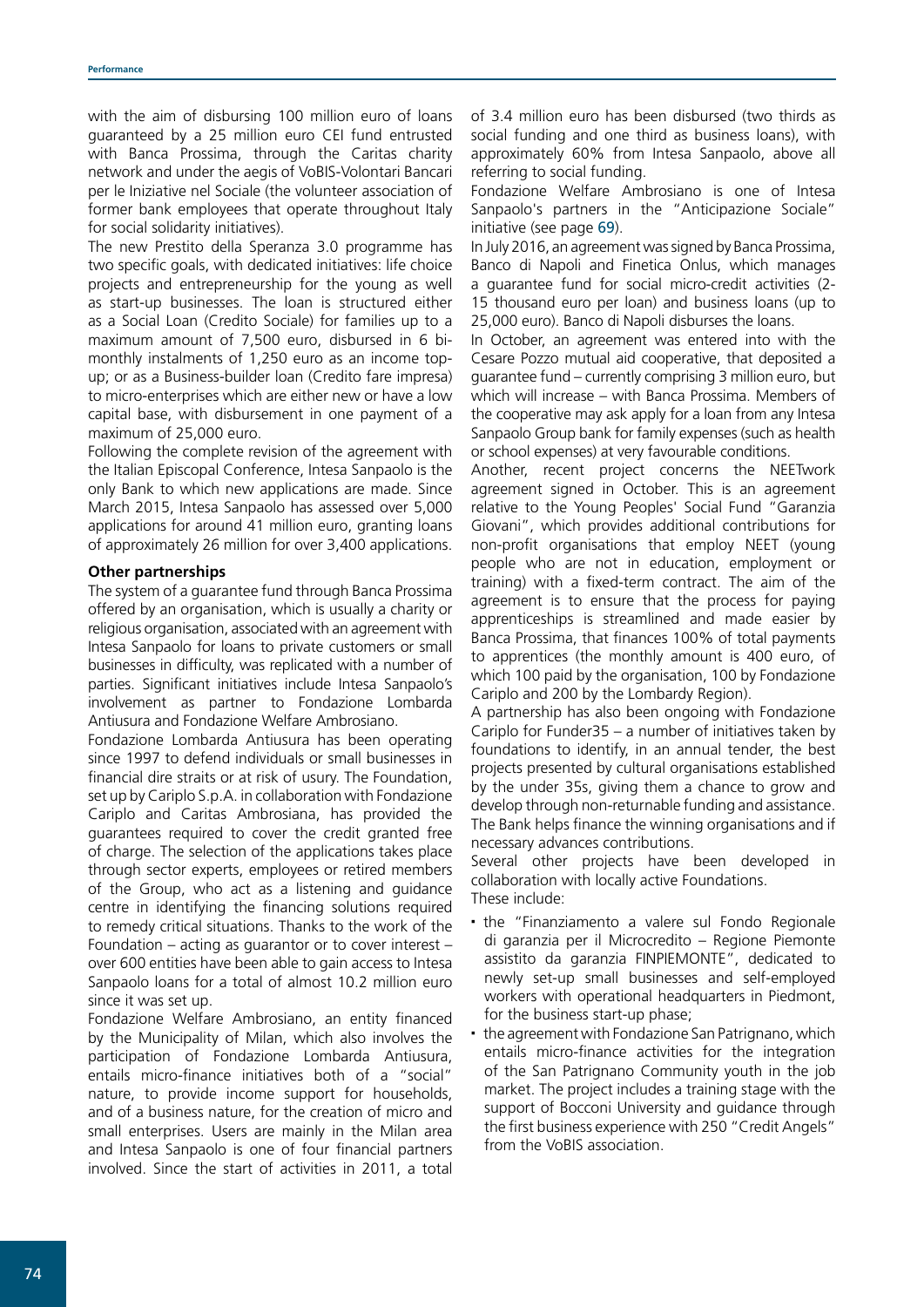with the aim of disbursing 100 million euro of loans guaranteed by a 25 million euro CEI fund entrusted with Banca Prossima, through the Caritas charity network and under the aegis of VoBIS-Volontari Bancari per le Iniziative nel Sociale (the volunteer association of former bank employees that operate throughout Italy for social solidarity initiatives).

The new Prestito della Speranza 3.0 programme has two specific goals, with dedicated initiatives: life choice projects and entrepreneurship for the young as well as start-up businesses. The loan is structured either as a Social Loan (Credito Sociale) for families up to a maximum amount of 7,500 euro, disbursed in 6 bimonthly instalments of 1,250 euro as an income topup; or as a Business-builder loan (Credito fare impresa) to micro-enterprises which are either new or have a low capital base, with disbursement in one payment of a maximum of 25,000 euro.

Following the complete revision of the agreement with the Italian Episcopal Conference, Intesa Sanpaolo is the only Bank to which new applications are made. Since March 2015, Intesa Sanpaolo has assessed over 5,000 applications for around 41 million euro, granting loans of approximately 26 million for over 3,400 applications.

# **Other partnerships**

The system of a guarantee fund through Banca Prossima offered by an organisation, which is usually a charity or religious organisation, associated with an agreement with Intesa Sanpaolo for loans to private customers or small businesses in difficulty, was replicated with a number of parties. Significant initiatives include Intesa Sanpaolo's involvement as partner to Fondazione Lombarda Antiusura and Fondazione Welfare Ambrosiano.

Fondazione Lombarda Antiusura has been operating since 1997 to defend individuals or small businesses in financial dire straits or at risk of usury. The Foundation, set up by Cariplo S.p.A. in collaboration with Fondazione Cariplo and Caritas Ambrosiana, has provided the guarantees required to cover the credit granted free of charge. The selection of the applications takes place through sector experts, employees or retired members of the Group, who act as a listening and guidance centre in identifying the financing solutions required to remedy critical situations. Thanks to the work of the Foundation – acting as guarantor or to cover interest – over 600 entities have been able to gain access to Intesa Sanpaolo loans for a total of almost 10.2 million euro since it was set up.

Fondazione Welfare Ambrosiano, an entity financed by the Municipality of Milan, which also involves the participation of Fondazione Lombarda Antiusura, entails micro-finance initiatives both of a "social" nature, to provide income support for households, and of a business nature, for the creation of micro and small enterprises. Users are mainly in the Milan area and Intesa Sanpaolo is one of four financial partners involved. Since the start of activities in 2011, a total

of 3.4 million euro has been disbursed (two thirds as social funding and one third as business loans), with approximately 60% from Intesa Sanpaolo, above all referring to social funding.

Fondazione Welfare Ambrosiano is one of Intesa Sanpaolo's partners in the "Anticipazione Sociale" initiative (see page 69).

In July 2016, an agreement was signed by Banca Prossima, Banco di Napoli and Finetica Onlus, which manages a guarantee fund for social micro-credit activities (2- 15 thousand euro per loan) and business loans (up to 25,000 euro). Banco di Napoli disburses the loans.

In October, an agreement was entered into with the Cesare Pozzo mutual aid cooperative, that deposited a guarantee fund – currently comprising 3 million euro, but which will increase – with Banca Prossima. Members of the cooperative may ask apply for a loan from any Intesa Sanpaolo Group bank for family expenses (such as health or school expenses) at very favourable conditions.

Another, recent project concerns the NEETwork agreement signed in October. This is an agreement relative to the Young Peoples' Social Fund "Garanzia Giovani", which provides additional contributions for non-profit organisations that employ NEET (young people who are not in education, employment or training) with a fixed-term contract. The aim of the agreement is to ensure that the process for paying apprenticeships is streamlined and made easier by Banca Prossima, that finances 100% of total payments to apprentices (the monthly amount is 400 euro, of which 100 paid by the organisation, 100 by Fondazione Cariplo and 200 by the Lombardy Region).

A partnership has also been ongoing with Fondazione Cariplo for Funder35 – a number of initiatives taken by foundations to identify, in an annual tender, the best projects presented by cultural organisations established by the under 35s, giving them a chance to grow and develop through non-returnable funding and assistance. The Bank helps finance the winning organisations and if necessary advances contributions.

Several other projects have been developed in collaboration with locally active Foundations. These include:

- the "Finanziamento a valere sul Fondo Regionale di garanzia per il Microcredito – Regione Piemonte assistito da garanzia FINPIEMONTE", dedicated to newly set-up small businesses and self-employed workers with operational headquarters in Piedmont, for the business start-up phase;
- the agreement with Fondazione San Patrignano, which entails micro-finance activities for the integration of the San Patrignano Community youth in the job market. The project includes a training stage with the support of Bocconi University and guidance through the first business experience with 250 "Credit Angels" from the VoBIS association.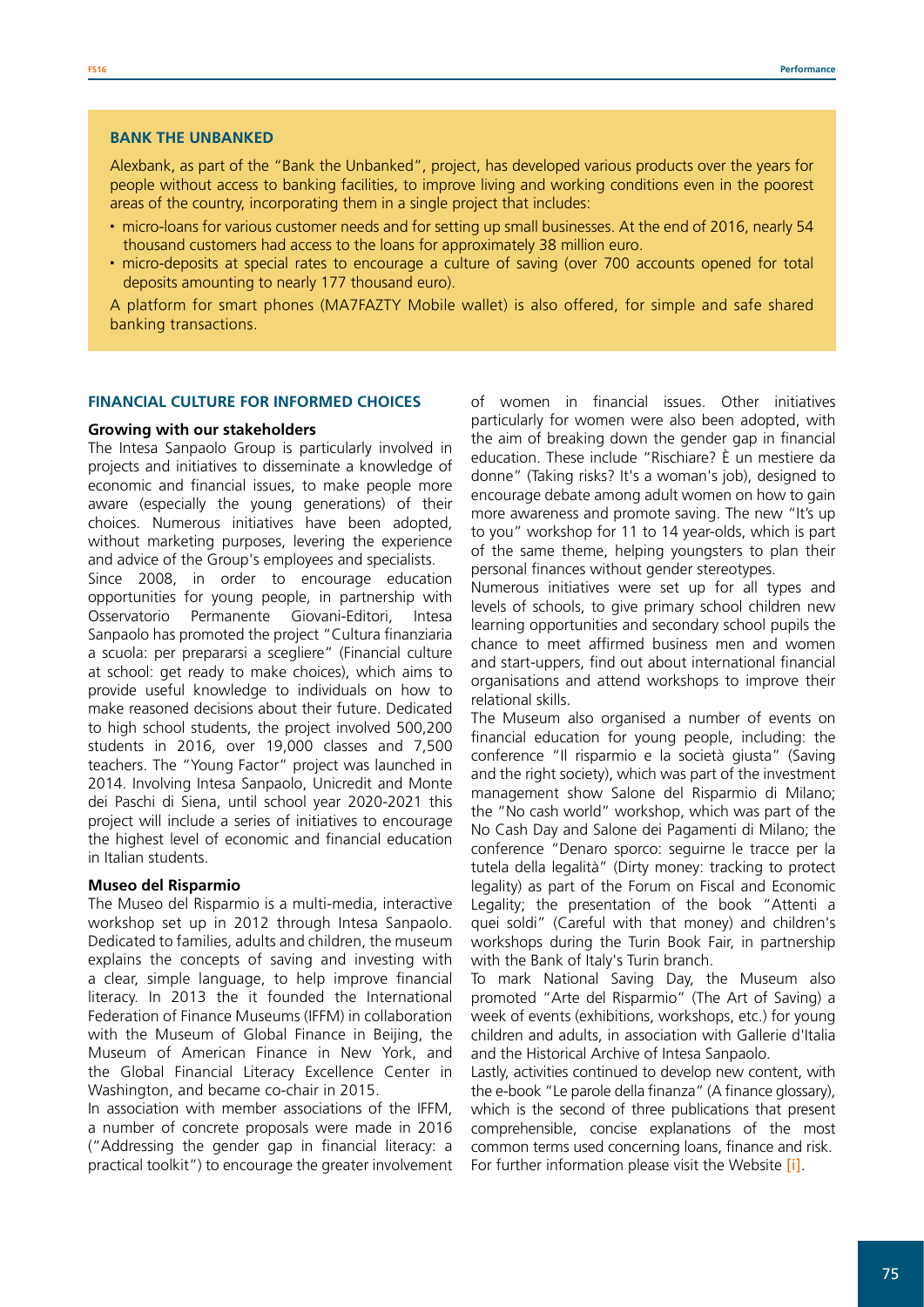#### **BANK THE UNBANKED**

Alexbank, as part of the "Bank the Unbanked", project, has developed various products over the years for people without access to banking facilities, to improve living and working conditions even in the poorest areas of the country, incorporating them in a single project that includes:

- micro-loans for various customer needs and for setting up small businesses. At the end of 2016, nearly 54 thousand customers had access to the loans for approximately 38 million euro.
- micro-deposits at special rates to encourage a culture of saving (over 700 accounts opened for total deposits amounting to nearly 177 thousand euro).

A platform for smart phones (MA7FAZTY Mobile wallet) is also offered, for simple and safe shared banking transactions.

#### **FINANCIAL CULTURE FOR INFORMED CHOICES**

#### **Growing with our stakeholders**

The Intesa Sanpaolo Group is particularly involved in projects and initiatives to disseminate a knowledge of economic and financial issues, to make people more aware (especially the young generations) of their choices. Numerous initiatives have been adopted, without marketing purposes, levering the experience and advice of the Group's employees and specialists.

Since 2008, in order to encourage education opportunities for young people, in partnership with Osservatorio Permanente Giovani-Editori, Intesa Sanpaolo has promoted the project "Cultura finanziaria a scuola: per prepararsi a scegliere" (Financial culture at school: get ready to make choices), which aims to provide useful knowledge to individuals on how to make reasoned decisions about their future. Dedicated to high school students, the project involved 500,200 students in 2016, over 19,000 classes and 7,500 teachers. The "Young Factor" project was launched in 2014. Involving Intesa Sanpaolo, Unicredit and Monte dei Paschi di Siena, until school year 2020-2021 this project will include a series of initiatives to encourage the highest level of economic and financial education in Italian students.

#### **Museo del Risparmio**

The Museo del Risparmio is a multi-media, interactive workshop set up in 2012 through Intesa Sanpaolo. Dedicated to families, adults and children, the museum explains the concepts of saving and investing with a clear, simple language, to help improve financial literacy. In 2013 the it founded the International Federation of Finance Museums (IFFM) in collaboration with the Museum of Global Finance in Beijing, the Museum of American Finance in New York, and the Global Financial Literacy Excellence Center in Washington, and became co-chair in 2015.

In association with member associations of the IFFM, a number of concrete proposals were made in 2016 ("Addressing the gender gap in financial literacy: a practical toolkit") to encourage the greater involvement

of women in financial issues. Other initiatives particularly for women were also been adopted, with the aim of breaking down the gender gap in financial education. These include "Rischiare? È un mestiere da donne" (Taking risks? It's a woman's job), designed to encourage debate among adult women on how to gain more awareness and promote saving. The new "It's up to you" workshop for 11 to 14 year-olds, which is part of the same theme, helping youngsters to plan their personal finances without gender stereotypes.

Numerous initiatives were set up for all types and levels of schools, to give primary school children new learning opportunities and secondary school pupils the chance to meet affirmed business men and women and start-uppers, find out about international financial organisations and attend workshops to improve their relational skills.

The Museum also organised a number of events on financial education for young people, including: the conference "Il risparmio e la società giusta" (Saving and the right society), which was part of the investment management show Salone del Risparmio di Milano; the "No cash world" workshop, which was part of the No Cash Day and Salone dei Pagamenti di Milano; the conference "Denaro sporco: seguirne le tracce per la tutela della legalità" (Dirty money: tracking to protect legality) as part of the Forum on Fiscal and Economic Legality; the presentation of the book "Attenti a quei soldi" (Careful with that money) and children's workshops during the Turin Book Fair, in partnership with the Bank of Italy's Turin branch.

To mark National Saving Day, the Museum also promoted "Arte del Risparmio" (The Art of Saving) a week of events (exhibitions, workshops, etc.) for young children and adults, in association with Gallerie d'Italia and the Historical Archive of Intesa Sanpaolo.

Lastly, activities continued to develop new content, with the e-book "Le parole della finanza" (A finance glossary), which is the second of three publications that present comprehensible, concise explanations of the most common terms used concerning loans, finance and risk. For further information please visit the Website [\[i\]](http://www.group.intesasanpaolo.com/scriptIsir0/si09/sostenibilita/eng_educazione_finanziaria.jsp).